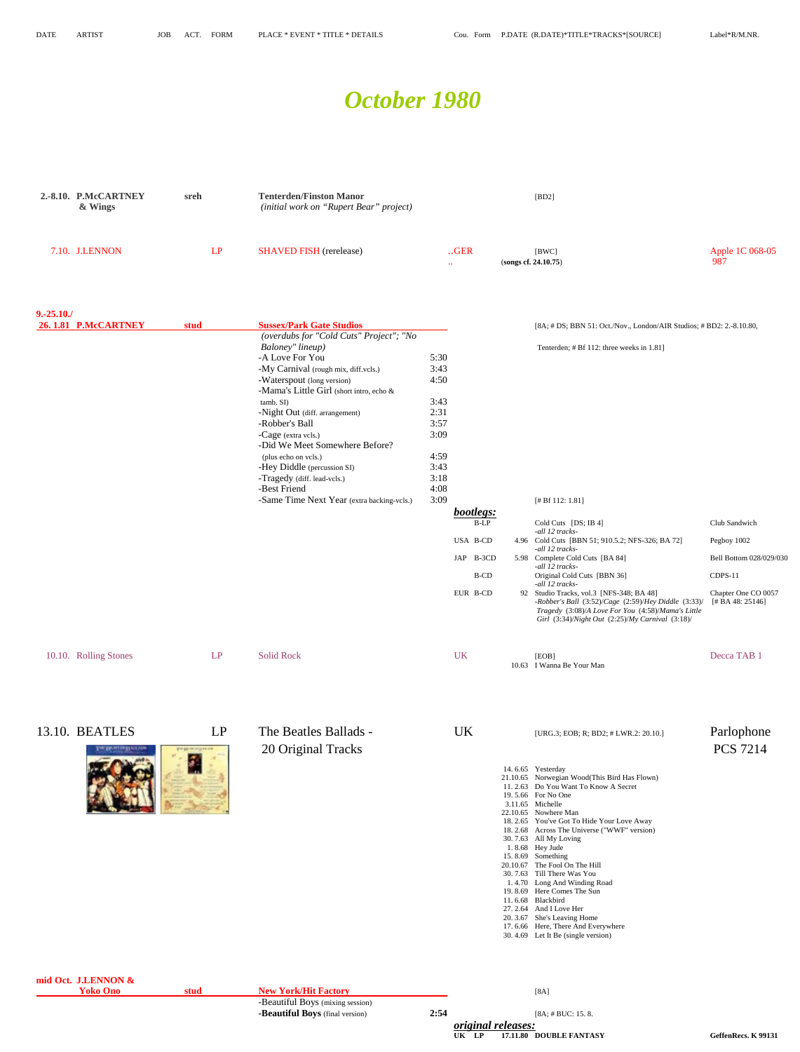# *October 1980*

<span id="page-0-0"></span>

|               | 2.-8.10. P.McCARTNEY<br>& Wings        | sreh                | <b>Tenterden/Finston Manor</b><br>(initial work on "Rupert Bear" project)                                                                                                                                                                                                                                                                                                                                                                                                      |                                                                                              |                                                                       | [BD2]                                                                                                                                                                                                                                                                                                                                                                                                                                                                                                                                                                                                                                                                       |                                                                                           |
|---------------|----------------------------------------|---------------------|--------------------------------------------------------------------------------------------------------------------------------------------------------------------------------------------------------------------------------------------------------------------------------------------------------------------------------------------------------------------------------------------------------------------------------------------------------------------------------|----------------------------------------------------------------------------------------------|-----------------------------------------------------------------------|-----------------------------------------------------------------------------------------------------------------------------------------------------------------------------------------------------------------------------------------------------------------------------------------------------------------------------------------------------------------------------------------------------------------------------------------------------------------------------------------------------------------------------------------------------------------------------------------------------------------------------------------------------------------------------|-------------------------------------------------------------------------------------------|
|               | 7.10. J.LENNON                         | LP                  | <b>SHAVED FISH</b> (rerelease)                                                                                                                                                                                                                                                                                                                                                                                                                                                 |                                                                                              | GER<br>$\mathbf{1}$                                                   | [BWC]<br>(songs cf. 24.10.75)                                                                                                                                                                                                                                                                                                                                                                                                                                                                                                                                                                                                                                               | Apple 1C 068-05<br>987                                                                    |
| $9.-25.10$ ./ | 26.1.81 P.McCARTNEY                    | stud                | <b>Sussex/Park Gate Studios</b>                                                                                                                                                                                                                                                                                                                                                                                                                                                |                                                                                              |                                                                       | [8A; # DS; BBN 51: Oct./Nov., London/AIR Studios; # BD2: 2.-8.10.80,                                                                                                                                                                                                                                                                                                                                                                                                                                                                                                                                                                                                        |                                                                                           |
|               |                                        |                     | (overdubs for "Cold Cuts" Project"; "No<br>Baloney" lineup)<br>-A Love For You<br>-My Carnival (rough mix, diff.vcls.)<br>-Waterspout (long version)<br>-Mama's Little Girl (short intro, echo &<br>tamb. SI)<br>-Night Out (diff. arrangement)<br>-Robber's Ball<br>-Cage (extra vcls.)<br>-Did We Meet Somewhere Before?<br>(plus echo on vcls.)<br>-Hey Diddle (percussion SI)<br>-Tragedy (diff. lead-vcls.)<br>-Best Friend<br>-Same Time Next Year (extra backing-vcls.) | 5:30<br>3:43<br>4:50<br>3:43<br>2:31<br>3:57<br>3:09<br>4:59<br>3:43<br>3:18<br>4:08<br>3:09 | <b>bootlegs:</b><br>B-LP<br>USA B-CD<br>JAP B-3CD<br>B-CD<br>EUR B-CD | Tenterden; # Bf 112: three weeks in 1.81]<br>$[$ # Bf 112: 1.81]<br>Cold Cuts [DS; IB 4]<br>-all 12 tracks-<br>4.96 Cold Cuts [BBN 51; 910.5.2; NFS-326; BA 72]<br>-all 12 tracks-<br>5.98 Complete Cold Cuts [BA 84]<br>-all 12 tracks-<br>Original Cold Cuts [BBN 36]<br>-all 12 tracks-<br>92 Studio Tracks, vol.3 [NFS-348; BA 48]<br>-Robber's Ball (3:52)/Cage (2:59)/Hey Diddle (3:33)/ [#BA 48: 25146]<br>Tragedy (3:08)/A Love For You (4:58)/Mama's Little<br>Girl (3:34)/Night Out (2:25)/My Carnival (3:18)/                                                                                                                                                    | Club Sandwich<br>Pegboy 1002<br>Bell Bottom 028/029/030<br>CDPS-11<br>Chapter One CO 0057 |
|               | 10.10. Rolling Stones                  | LP                  | <b>Solid Rock</b>                                                                                                                                                                                                                                                                                                                                                                                                                                                              |                                                                                              | <b>UK</b>                                                             | [EOB]<br>10.63 I Wanna Be Your Man                                                                                                                                                                                                                                                                                                                                                                                                                                                                                                                                                                                                                                          | Decca TAB 1                                                                               |
|               | 13.10. BEATLES                         | LP<br>Anthonolister | The Beatles Ballads -<br>20 Original Tracks                                                                                                                                                                                                                                                                                                                                                                                                                                    |                                                                                              | <b>UK</b>                                                             | [URG.3; EOB; R; BD2; # LWR.2: 20.10.]<br>14.6.65 Yesterday<br>21.10.65 Norwegian Wood(This Bird Has Flown)<br>11. 2.63 Do You Want To Know A Secret<br>19.5.66 For No One<br>3.11.65 Michelle<br>22.10.65 Nowhere Man<br>18. 2.65 You've Got To Hide Your Love Away<br>18.2.68 Across The Universe ("WWF" version)<br>30.7.63 All My Loving<br>1.8.68 Hey Jude<br>15.8.69 Something<br>20.10.67 The Fool On The Hill<br>30. 7.63 Till There Was You<br>1.4.70 Long And Winding Road<br>19.8.69 Here Comes The Sun<br>11.6.68 Blackbird<br>27. 2.64 And I Love Her<br>20.3.67 She's Leaving Home<br>17.6.66 Here, There And Everywhere<br>30.4.69 Let It Be (single version) | Parlophone<br><b>PCS 7214</b>                                                             |
|               | mid Oct. J.LENNON &<br><b>Yoko Ono</b> | stud                | <b>New York/Hit Factory</b><br>-Beautiful Boys (mixing session)                                                                                                                                                                                                                                                                                                                                                                                                                |                                                                                              |                                                                       | [8A]                                                                                                                                                                                                                                                                                                                                                                                                                                                                                                                                                                                                                                                                        |                                                                                           |

**-Beautiful Boys** (final version) **2:54** [8A; # BUC: 15. 8.  *original releases:***UK LP 17.11.80 DOUBLE FANTASY GeffenRecs. K 99131**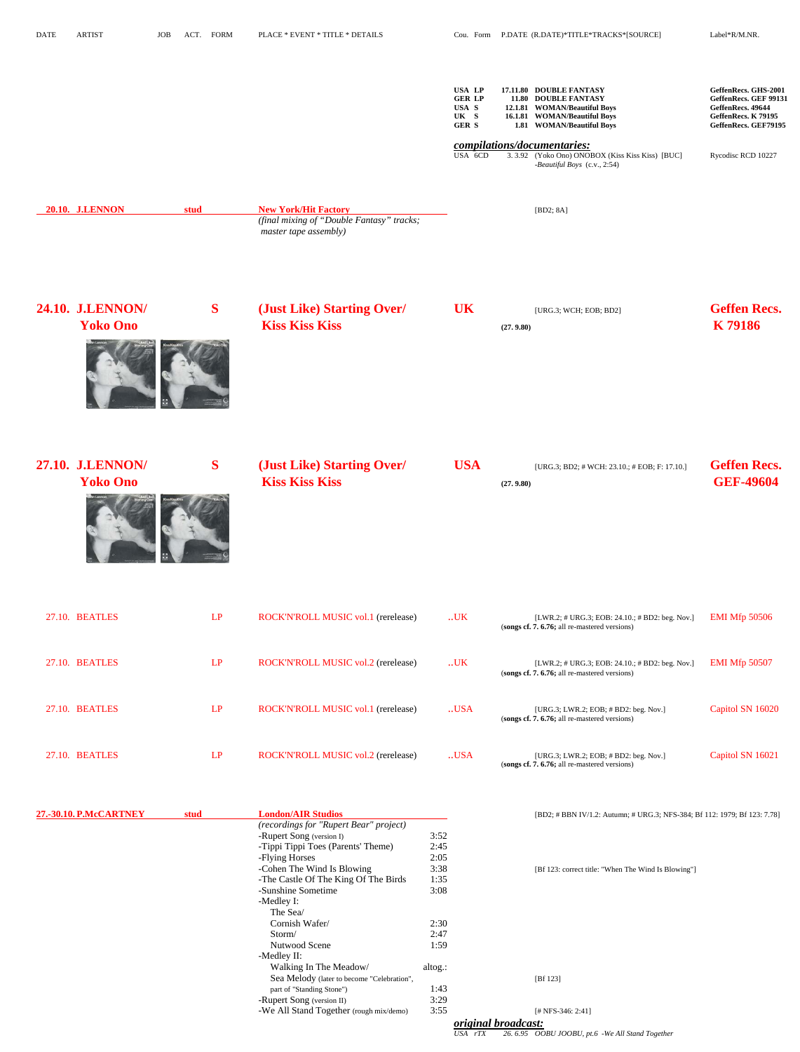| DATE | <b>ARTIST</b>                       | <b>JOB</b> |      | ACT. FORM | PLACE * EVENT * TITLE * DETAILS                                                                                                                                                                                                                                                                                            |                                                                      |                                                          |           | Cou. Form P.DATE (R.DATE)*TITLE*TRACKS*[SOURCE]                                                                                              | Label*R/M.NR.                                                                                                     |
|------|-------------------------------------|------------|------|-----------|----------------------------------------------------------------------------------------------------------------------------------------------------------------------------------------------------------------------------------------------------------------------------------------------------------------------------|----------------------------------------------------------------------|----------------------------------------------------------|-----------|----------------------------------------------------------------------------------------------------------------------------------------------|-------------------------------------------------------------------------------------------------------------------|
|      |                                     |            |      |           |                                                                                                                                                                                                                                                                                                                            |                                                                      | USA LP<br><b>GER LP</b><br>USA S<br>UK S<br><b>GER S</b> |           | 17.11.80 DOUBLE FANTASY<br>11.80 DOUBLE FANTASY<br>12.1.81 WOMAN/Beautiful Boys<br>16.1.81 WOMAN/Beautiful Boys<br>1.81 WOMAN/Beautiful Boys | GeffenRecs. GHS-2001<br>GeffenRecs. GEF 99131<br>GeffenRecs. 49644<br>GeffenRecs. K 79195<br>GeffenRecs. GEF79195 |
|      |                                     |            |      |           |                                                                                                                                                                                                                                                                                                                            |                                                                      | USA 6CD                                                  |           | compilations/documentaries:<br>3.3.92 (Yoko Ono) ONOBOX (Kiss Kiss Kiss) [BUC]<br>-Beautiful Boys (c.v., 2:54)                               | Rycodisc RCD 10227                                                                                                |
|      | <b>20.10. J.LENNON</b>              |            | stud |           | <b>New York/Hit Factory</b><br>(final mixing of "Double Fantasy" tracks;<br>master tape assembly)                                                                                                                                                                                                                          |                                                                      |                                                          |           | [BD2; 8A]                                                                                                                                    |                                                                                                                   |
|      | 24.10. J.LENNON/<br><b>Yoko Ono</b> |            |      | S         | (Just Like) Starting Over/<br><b>Kiss Kiss Kiss</b>                                                                                                                                                                                                                                                                        |                                                                      | <b>UK</b>                                                | (27.9.80) | [URG.3; WCH; EOB; BD2]                                                                                                                       | <b>Geffen Recs.</b><br>K79186                                                                                     |
|      | 27.10. J.LENNON/<br><b>Yoko Ono</b> |            |      | S         | (Just Like) Starting Over/<br><b>Kiss Kiss Kiss</b>                                                                                                                                                                                                                                                                        |                                                                      | <b>USA</b>                                               | (27.9.80) | [URG.3; BD2; # WCH: 23.10.; # EOB; F: 17.10.]                                                                                                | <b>Geffen Recs.</b><br><b>GEF-49604</b>                                                                           |
|      | 27.10. BEATLES                      |            |      | LP        | ROCK'N'ROLL MUSIC vol.1 (rerelease)                                                                                                                                                                                                                                                                                        |                                                                      | $$ UK $\,$                                               |           | [LWR.2; # URG.3; EOB: 24.10.; # BD2: beg. Nov.]<br>(songs cf. 7. 6.76; all re-mastered versions)                                             | <b>EMI Mfp 50506</b>                                                                                              |
|      | 27.10. BEATLES                      |            |      | LP        | ROCK'N'ROLL MUSIC vol.2 (rerelease)                                                                                                                                                                                                                                                                                        |                                                                      | $$ UK $\,$                                               |           | [LWR.2; # URG.3; EOB: 24.10.; # BD2: beg. Nov.]<br>(songs cf. 7. 6.76; all re-mastered versions)                                             | <b>EMI Mfp 50507</b>                                                                                              |
|      | 27.10. BEATLES                      |            |      | LP        | ROCK'N'ROLL MUSIC vol.1 (rerelease)                                                                                                                                                                                                                                                                                        |                                                                      | . <i>USA</i>                                             |           | [URG.3; LWR.2; EOB; # BD2: beg. Nov.]<br>(songs cf. 7. 6.76; all re-mastered versions)                                                       | Capitol SN 16020                                                                                                  |
|      | 27.10. BEATLES                      |            |      | LP        | ROCK'N'ROLL MUSIC vol.2 (rerelease)                                                                                                                                                                                                                                                                                        |                                                                      | . <i>USA</i>                                             |           | [URG.3; LWR.2; EOB; # BD2: beg. Nov.]<br>(songs cf. 7. 6.76; all re-mastered versions)                                                       | Capitol SN 16021                                                                                                  |
|      | 27.-30.10. P.McCARTNEY              |            | stud |           | <b>London/AIR Studios</b><br>(recordings for "Rupert Bear" project)<br>-Rupert Song (version I)<br>-Tippi Tippi Toes (Parents' Theme)<br>-Flying Horses<br>-Cohen The Wind Is Blowing<br>-The Castle Of The King Of The Birds<br>-Sunshine Sometime<br>-Medley I:<br>The Sea/<br>Cornish Wafer/<br>Storm/<br>Nutwood Scene | 3:52<br>2:45<br>2:05<br>3:38<br>1:35<br>3:08<br>2:30<br>2:47<br>1:59 |                                                          |           | [BD2; # BBN IV/1.2: Autumn; # URG.3; NFS-384; Bf 112: 1979; Bf 123: 7.78]<br>[Bf 123: correct title: "When The Wind Is Blowing"]             |                                                                                                                   |
|      |                                     |            |      |           | -Medley II:<br>Walking In The Meadow/<br>Sea Melody (later to become "Celebration",<br>part of "Standing Stone")<br>-Rupert Song (version II)<br>-We All Stand Together (rough mix/demo)                                                                                                                                   | altog.:<br>1:43<br>3:29<br>3:55                                      | <i>original broadcast:</i><br>USA rTX                    |           | [Bf 123]<br>[# NFS-346: 2:41]<br>26. 6.95 OOBU JOOBU, pt.6 -We All Stand Together                                                            |                                                                                                                   |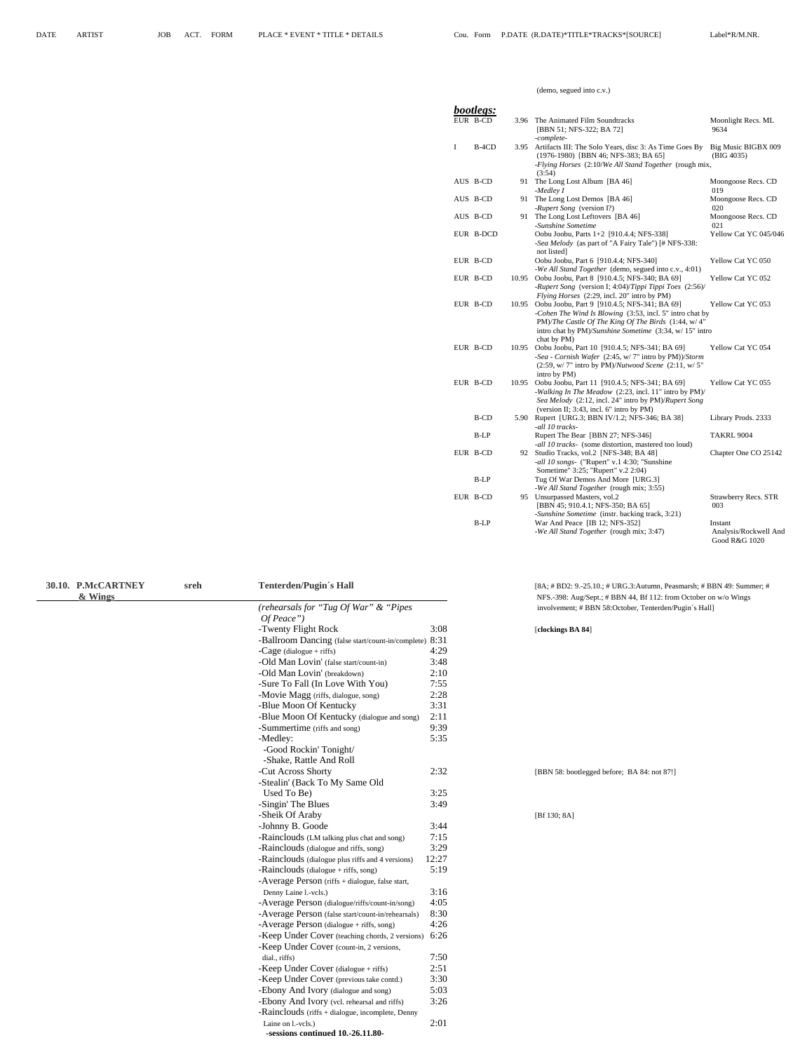#### (demo, segued into c.v.)

|                                                                                                                                                                                                                                                      |  | bootlegs: |          |  |
|------------------------------------------------------------------------------------------------------------------------------------------------------------------------------------------------------------------------------------------------------|--|-----------|----------|--|
| 3.96 The Animated Film Soundtracks<br>[BBN 51; NFS-322; BA 72]<br>-complete-                                                                                                                                                                         |  | EUR B-CD  |          |  |
| 3.95 Artifacts III: The Solo Years, disc 3: As Time Goes By<br>(1976-1980) [BBN 46; NFS-383; BA 65]<br>- <i>Flying Horses</i> (2:10/We All Stand Together (rough mix,<br>(3:54)                                                                      |  | B-4CD     |          |  |
| 91 The Long Lost Album [BA 46]<br>-Medley I                                                                                                                                                                                                          |  | AUS B-CD  |          |  |
| 91 The Long Lost Demos [BA 46]<br>-Rupert Song (version I?)                                                                                                                                                                                          |  |           | AUS B-CD |  |
| 91 The Long Lost Leftovers [BA 46]<br>-Sunshine Sometime                                                                                                                                                                                             |  | AUS B-CD  |          |  |
| Oobu Joobu, Parts 1+2 [910.4.4; NFS-338]<br>-Sea Melody (as part of "A Fairy Tale") [# NFS-338:<br>not listed]                                                                                                                                       |  | EUR B-DCD |          |  |
| Oobu Joobu, Part 6 [910.4.4; NFS-340]<br>-We All Stand Together (demo, segued into c.v., 4:01)                                                                                                                                                       |  |           | EUR B-CD |  |
| 10.95 Oobu Joobu, Part 8 [910.4.5; NFS-340; BA 69]<br>-Rupert Song (version I; 4:04)/Tippi Tippi Toes (2:56)/<br>Flying Horses (2:29, incl. 20" intro by PM)                                                                                         |  |           | EUR B-CD |  |
| 10.95 Oobu Joobu, Part 9 [910.4.5; NFS-341; BA 69]<br>-Cohen The Wind Is Blowing (3:53, incl. 5" intro chat by<br>PM)/The Castle Of The King Of The Birds $(1:44, w/4"$<br>intro chat by PM $)/$ Sunshine Sometime (3:34, w/15" intro<br>chat by PM) |  |           | EUR B-CD |  |
| 10.95 Oobu Joobu, Part 10 [910.4.5; NFS-341; BA 69]<br>-Sea - Cornish Wafer (2:45, w/7" intro by PM))/Storm<br>$(2:59, w/7"$ intro by PM $)/N$ utwood Scene $(2:11, w/5"$<br>intro by PM)                                                            |  |           | EUR B-CD |  |
| 10.95 Oobu Joobu, Part 11 [910.4.5; NFS-341; BA 69]<br>-Walking In The Meadow (2:23, incl. 11" intro by PM)/<br>Sea Melody (2:12, incl. 24" intro by PM)/Rupert Song<br>(version II; $3:43$ , incl. 6" intro by PM)                                  |  |           | EUR B-CD |  |
| 5.90 Rupert [URG.3; BBN IV/1.2; NFS-346; BA 38]<br>-all 10 tracks-                                                                                                                                                                                   |  | B-CD      |          |  |
| Rupert The Bear [BBN 27; NFS-346]<br>-all 10 tracks- (some distortion, mastered too loud)                                                                                                                                                            |  | B-LP      |          |  |
| 92 Studio Tracks, vol.2 [NFS-348; BA 48]<br>-all 10 songs- ("Rupert" v.1 4:30; "Sunshine<br>Sometime" 3:25; "Rupert" v.2 2:04)                                                                                                                       |  |           | EUR B-CD |  |
| Tug Of War Demos And More [URG.3]<br>-We All Stand Together (rough mix; 3:55)                                                                                                                                                                        |  | $B-LP$    |          |  |
| 95 Unsurpassed Masters, vol.2<br>[BBN 45; 910.4.1; NFS-350; BA 65]<br>-Sunshine Sometime (instr. backing track, 3:21)                                                                                                                                |  |           | EUR B-CD |  |
| War And Peace [IB 12; NFS-352]<br>-We All Stand Together (rough mix; 3:47)                                                                                                                                                                           |  | B-LP      |          |  |

 **30.10. P.McCARTNEY sreh Tenterden/Pugin´s Hall** [8A; # BD2: 9.-25.10.; # URG.3:Autumn, Peasmarsh; # BBN 49: Summer; # **& Wings** (*rehearsals for "Tug Of War" & "Pipes* NFS.-398: Aug/Sept.; # BBN 44, Bf 112: from October on w/o Wings (*rehearsals for "Tug Of War" & "Pipes* nvolvement; # BBN 58:October, Tenterden/Pugin's Hall] *(rehearsals for "Tug Of War" & "Pipes* involvement; # BBN 58:October, Tenterden/Pugin´s Hall]

[BBN 58: bootlegged before; BA 84: not 87!]

| $Of Peace$ ")                                          |       |                   |
|--------------------------------------------------------|-------|-------------------|
| -Twenty Flight Rock                                    | 3:08  | [clockings BA 84] |
| -Ballroom Dancing (false start/count-in/complete) 8:31 |       |                   |
| -Cage $(dialogue + riffs)$                             | 4:29  |                   |
| -Old Man Lovin' (false start/count-in)                 | 3:48  |                   |
| -Old Man Lovin' (breakdown)                            | 2:10  |                   |
| -Sure To Fall (In Love With You)                       | 7:55  |                   |
| -Movie Magg (riffs, dialogue, song)                    | 2:28  |                   |
| -Blue Moon Of Kentucky                                 | 3:31  |                   |
| -Blue Moon Of Kentucky (dialogue and song)             | 2:11  |                   |
| -Summertime (riffs and song)                           | 9:39  |                   |
| -Medley:                                               | 5:35  |                   |
| -Good Rockin' Tonight/                                 |       |                   |
| -Shake, Rattle And Roll                                |       |                   |
| -Cut Across Shorty                                     | 2:32  | [BBN 58: bootlegg |
| -Stealin' (Back To My Same Old                         |       |                   |
| Used To Be)                                            | 3:25  |                   |
| -Singin' The Blues                                     | 3:49  |                   |
| -Sheik Of Araby                                        |       | [Bf 130; 8A]      |
| -Johnny B. Goode                                       | 3:44  |                   |
| -Rainclouds (LM talking plus chat and song)            | 7:15  |                   |
| -Rainclouds (dialogue and riffs, song)                 | 3:29  |                   |
| -Rainclouds (dialogue plus riffs and 4 versions)       | 12:27 |                   |
| -Rainclouds (dialogue $+$ riffs, song)                 | 5:19  |                   |
| -Average Person (riffs + dialogue, false start,        |       |                   |
| Denny Laine l.-vcls.)                                  | 3:16  |                   |
| -Average Person (dialogue/riffs/count-in/song)         | 4:05  |                   |
| -Average Person (false start/count-in/rehearsals)      | 8:30  |                   |
| -Average Person (dialogue + riffs, song)               | 4:26  |                   |
| -Keep Under Cover (teaching chords, 2 versions)        | 6:26  |                   |
| -Keep Under Cover (count-in, 2 versions,               |       |                   |
| dial., riffs)                                          | 7:50  |                   |
| -Keep Under Cover (dialogue + riffs)                   | 2:51  |                   |
| -Keep Under Cover (previous take contd.)               | 3:30  |                   |
| -Ebony And Ivory (dialogue and song)                   | 5:03  |                   |
| -Ebony And Ivory (vcl. rehearsal and riffs)            | 3:26  |                   |
| -Rainclouds (riffs + dialogue, incomplete, Denny       |       |                   |
| Laine on l.-vcls.)                                     | 2:01  |                   |
| -sessions continued 10.-26.11.80-                      |       |                   |
|                                                        |       |                   |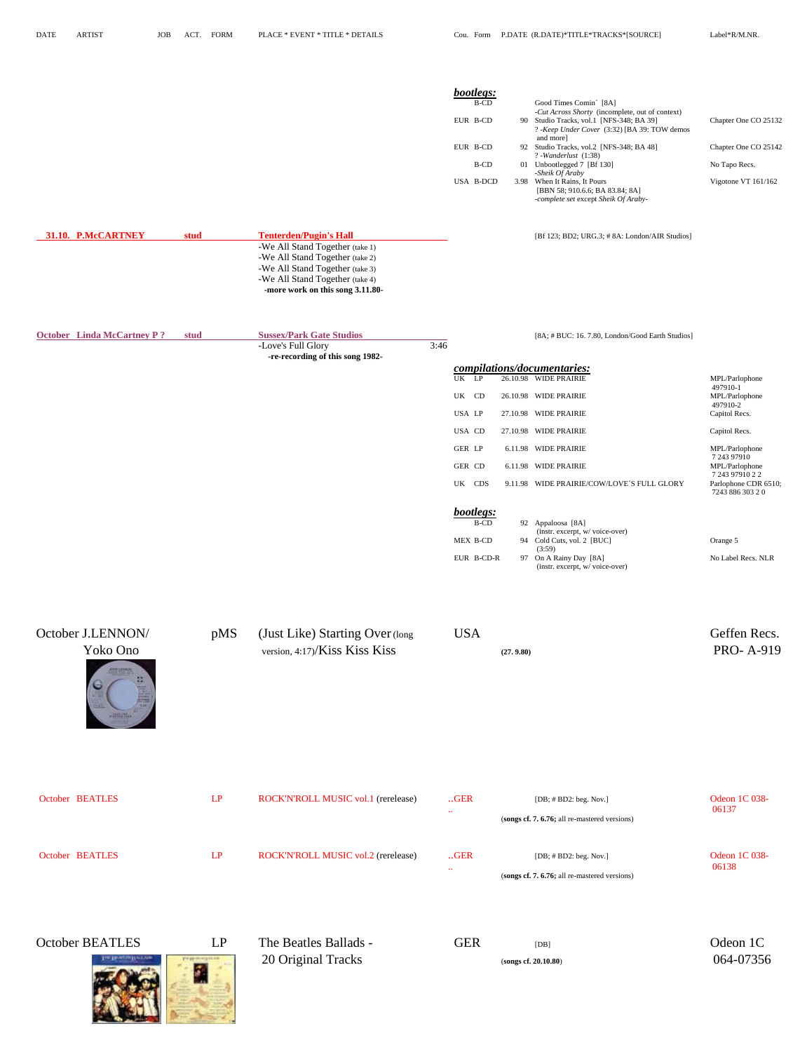| bootlegs: |                                                                                                                                                                  |                       |
|-----------|------------------------------------------------------------------------------------------------------------------------------------------------------------------|-----------------------|
| B-CD      | Good Times Comin' [8A]                                                                                                                                           |                       |
| EUR B-CD  | - <i>Cut Across Shorty</i> (incomplete, out of context)<br>90 Studio Tracks, vol.1 [NFS-348; BA 39]<br>? -Keep Under Cover (3:32) [BA 39: TOW demos<br>and more] | Chapter One CO 25132  |
| EUR B-CD  | 92 Studio Tracks, vol.2 [NFS-348; BA 48]<br>$?$ -Wanderlust $(1:38)$                                                                                             | Chapter One CO 25142  |
| B-CD      | 01 Unbootlegged 7 [Bf 130]<br>-Sheik Of Araby                                                                                                                    | No Tapo Recs.         |
| USA B-DCD | 3.98 When It Rains, It Pours<br>[BBN 58; 910.6.6; BA 83.84; 8A]<br>-complete set except Sheik Of Araby-                                                          | Vigotone VT $161/162$ |

| 31.10. P.McCARTNEY                | stud | <b>Tenterden/Pugin's Hall</b>    | [Bf 123; BD2; URG.3; $\#$ 8A: London/AIR Studios]  |
|-----------------------------------|------|----------------------------------|----------------------------------------------------|
|                                   |      | -We All Stand Together (take 1)  |                                                    |
|                                   |      | -We All Stand Together (take 2)  |                                                    |
|                                   |      | -We All Stand Together (take 3)  |                                                    |
|                                   |      | -We All Stand Together (take 4)  |                                                    |
|                                   |      | -more work on this song 3.11.80- |                                                    |
|                                   |      |                                  |                                                    |
|                                   |      |                                  |                                                    |
| <b>October Linda McCartney P?</b> | stud | <b>Sussex/Park Gate Studios</b>  | $[8A; # BUC: 16, 7.80, London/Good Earth Studies]$ |

| -Love's Full Glory               | 3:46                                                                    |                                         |
|----------------------------------|-------------------------------------------------------------------------|-----------------------------------------|
| -re-recording of this song 1982- |                                                                         |                                         |
|                                  | compilations/documentaries:                                             |                                         |
|                                  | 26.10.98 WIDE PRAIRIE<br>UK LP                                          | MPL/Parlophone<br>497910-1              |
|                                  | UK<br>CD<br>26.10.98 WIDE PRAIRIE                                       | MPL/Parlophone<br>497910-2              |
|                                  | USA LP<br>27.10.98 WIDE PRAIRIE                                         | Capitol Recs.                           |
|                                  | USA CD<br>27.10.98 WIDE PRAIRIE                                         | Capitol Recs.                           |
|                                  | GER LP<br>6.11.98 WIDE PRAIRIE                                          | MPL/Parlophone<br>7 243 97910           |
|                                  | GER CD<br>6.11.98 WIDE PRAIRIE                                          | MPL/Parlophone<br>7 243 97910 2 2       |
|                                  | UK<br><b>CDS</b><br>9.11.98 WIDE PRAIRIE/COW/LOVE'S FULL GLORY          | Parlophone CDR 6510;<br>7243 886 303 20 |
|                                  | bootlegs:                                                               |                                         |
|                                  | B-CD<br>92 Appaloosa [8A]<br>(instr. excerpt, w/ voice-over)            |                                         |
|                                  | MEX B-CD<br>94 Cold Cuts, vol. 2 [BUC]<br>(3:59)                        | Orange 5                                |
|                                  | EUR B-CD-R<br>97 On A Rainy Day [8A]<br>(instr. excerpt, w/ voice-over) | No Label Recs. NLR                      |

| October J.LENNON/<br>Yoko Ono | pMS | (Just Like) Starting Over (long<br>version, 4:17)/Kiss Kiss Kiss | <b>USA</b>       | (27.9.80)                                                               | Geffen Recs.<br>PRO-A-919 |
|-------------------------------|-----|------------------------------------------------------------------|------------------|-------------------------------------------------------------------------|---------------------------|
| October BEATLES               | LP  | ROCK'N'ROLL MUSIC vol.1 (rerelease)                              | GER              | [DB; # BD2: beg. Nov.]<br>(songs cf. 7. 6.76; all re-mastered versions) | Odeon 1C 038-<br>06137    |
| October BEATLES               | LP  | ROCK'N'ROLL MUSIC vol.2 (rerelease)                              | GER<br>$\ddotsc$ | [DB; # BD2: beg. Nov.]<br>(songs cf. 7. 6.76; all re-mastered versions) | Odeon 1C 038-<br>06138    |
| <b>October BEATLES</b>        | LP  | The Beatles Ballads -<br>20 Original Tracks                      | <b>GER</b>       | [DB]<br>(songs cf. 20.10.80)                                            | Odeon 1C<br>064-07356     |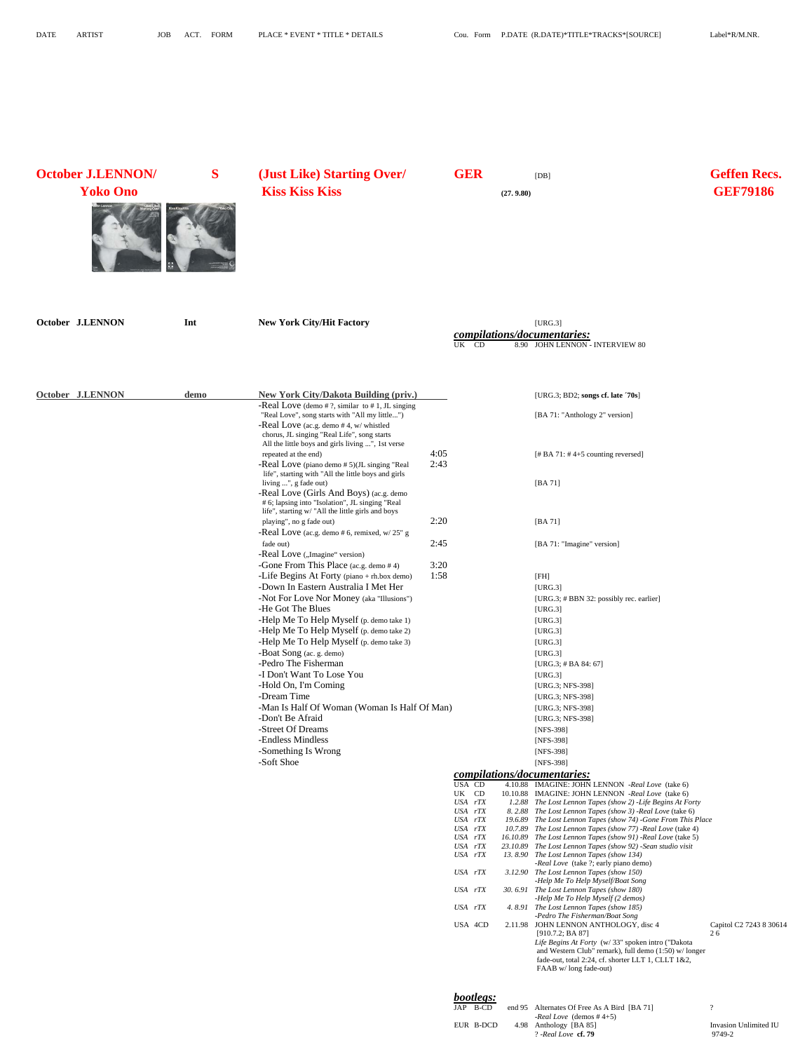| DATE<br><b>ARTIST</b>                       | ACT. FORM<br><b>JOB</b> | PLACE * EVENT * TITLE * DETAILS                                                                        |              |                            |           | Cou. Form P.DATE (R.DATE)*TITLE*TRACKS*[SOURCE]                                                                                                                                             | Label*R/M.NR.                                     |
|---------------------------------------------|-------------------------|--------------------------------------------------------------------------------------------------------|--------------|----------------------------|-----------|---------------------------------------------------------------------------------------------------------------------------------------------------------------------------------------------|---------------------------------------------------|
|                                             |                         |                                                                                                        |              |                            |           |                                                                                                                                                                                             |                                                   |
|                                             |                         |                                                                                                        |              |                            |           |                                                                                                                                                                                             |                                                   |
|                                             |                         |                                                                                                        |              |                            |           |                                                                                                                                                                                             |                                                   |
|                                             |                         |                                                                                                        |              |                            |           |                                                                                                                                                                                             |                                                   |
|                                             |                         |                                                                                                        |              |                            |           |                                                                                                                                                                                             |                                                   |
|                                             |                         |                                                                                                        |              |                            |           |                                                                                                                                                                                             |                                                   |
| <b>October J.LENNON/</b><br><b>Yoko Ono</b> | S                       | (Just Like) Starting Over/<br><b>Kiss Kiss Kiss</b>                                                    |              | <b>GER</b>                 |           | [DB]                                                                                                                                                                                        | <b>Geffen Recs.</b><br><b>GEF79186</b>            |
|                                             |                         |                                                                                                        |              |                            | (27.9.80) |                                                                                                                                                                                             |                                                   |
|                                             |                         |                                                                                                        |              |                            |           |                                                                                                                                                                                             |                                                   |
|                                             |                         |                                                                                                        |              |                            |           |                                                                                                                                                                                             |                                                   |
|                                             |                         |                                                                                                        |              |                            |           |                                                                                                                                                                                             |                                                   |
|                                             |                         |                                                                                                        |              |                            |           |                                                                                                                                                                                             |                                                   |
|                                             |                         |                                                                                                        |              |                            |           |                                                                                                                                                                                             |                                                   |
| October J.LENNON                            | Int                     | <b>New York City/Hit Factory</b>                                                                       |              |                            |           | [URG.3]                                                                                                                                                                                     |                                                   |
|                                             |                         |                                                                                                        |              | $UK$ $CD$                  |           | compilations/documentaries:<br>8.90 JOHN LENNON - INTERVIEW 80                                                                                                                              |                                                   |
|                                             |                         |                                                                                                        |              |                            |           |                                                                                                                                                                                             |                                                   |
| October J.LENNON                            | demo                    | <b>New York City/Dakota Building (priv.)</b>                                                           |              |                            |           |                                                                                                                                                                                             |                                                   |
|                                             |                         | -Real Love (demo $#$ ?, similar to $#$ 1, JL singing<br>"Real Love", song starts with "All my little") |              |                            |           | [URG.3; BD2; songs cf. late '70s]<br>[BA 71: "Anthology 2" version]                                                                                                                         |                                                   |
|                                             |                         | -Real Love (ac.g. demo #4, w/ whistled<br>chorus, JL singing "Real Life", song starts                  |              |                            |           |                                                                                                                                                                                             |                                                   |
|                                             |                         | All the little boys and girls living ", 1st verse<br>repeated at the end)                              | 4:05         |                            |           | [# BA 71: #4+5 counting reversed]                                                                                                                                                           |                                                   |
|                                             |                         | -Real Love (piano demo #5)(JL singing "Real<br>life", starting with "All the little boys and girls     | 2:43         |                            |           |                                                                                                                                                                                             |                                                   |
|                                             |                         | living ", g fade out)<br>-Real Love (Girls And Boys) (ac.g. demo                                       |              |                            |           | [BA 71]                                                                                                                                                                                     |                                                   |
|                                             |                         | # 6; lapsing into "Isolation", JL singing "Real<br>life", starting w/ "All the little girls and boys   |              |                            |           |                                                                                                                                                                                             |                                                   |
|                                             |                         | playing", no g fade out)<br>-Real Love (ac.g. demo # 6, remixed, $w/25$ " g                            | 2:20         |                            |           | [BA 71]                                                                                                                                                                                     |                                                   |
|                                             |                         | fade out)<br>-Real Love ("Imagine" version)                                                            | 2:45         |                            |           | [BA 71: "Imagine" version]                                                                                                                                                                  |                                                   |
|                                             |                         | -Gone From This Place (ac.g. demo # 4)<br>-Life Begins At Forty (piano + rh.box demo)                  | 3:20<br>1:58 |                            |           | [FH]                                                                                                                                                                                        |                                                   |
|                                             |                         | -Down In Eastern Australia I Met Her<br>-Not For Love Nor Money (aka "Illusions")                      |              |                            |           | [URG.3]                                                                                                                                                                                     |                                                   |
|                                             |                         | -He Got The Blues                                                                                      |              |                            |           | [URG.3; # BBN 32: possibly rec. earlier]<br>[URG.3]                                                                                                                                         |                                                   |
|                                             |                         | -Help Me To Help Myself (p. demo take 1)<br>-Help Me To Help Myself (p. demo take 2)                   |              |                            |           | [URG.3]<br>[URG.3]                                                                                                                                                                          |                                                   |
|                                             |                         | -Help Me To Help Myself (p. demo take 3)<br>-Boat Song (ac. g. demo)                                   |              |                            |           | [URG.3]<br>[URG.3]                                                                                                                                                                          |                                                   |
|                                             |                         | -Pedro The Fisherman<br>-I Don't Want To Lose You                                                      |              |                            |           | [URG.3; $# BA 84: 67$ ]<br>[URG.3]                                                                                                                                                          |                                                   |
|                                             |                         | -Hold On, I'm Coming<br>-Dream Time                                                                    |              |                            |           | [URG.3; NFS-398]<br>[URG.3; NFS-398]                                                                                                                                                        |                                                   |
|                                             |                         | -Man Is Half Of Woman (Woman Is Half Of Man)<br>-Don't Be Afraid                                       |              |                            |           | [URG.3; NFS-398]<br>[URG.3; NFS-398]                                                                                                                                                        |                                                   |
|                                             |                         | -Street Of Dreams<br>-Endless Mindless                                                                 |              |                            |           | [NFS-398]<br>[NFS-398]                                                                                                                                                                      |                                                   |
|                                             |                         | -Something Is Wrong                                                                                    |              |                            |           | [NFS-398]                                                                                                                                                                                   |                                                   |
|                                             |                         | -Soft Shoe                                                                                             |              |                            |           | [NFS-398]<br>compilations/documentaries:                                                                                                                                                    |                                                   |
|                                             |                         |                                                                                                        |              | USA CD<br>UK CD<br>USA rTX |           | 4.10.88 IMAGINE: JOHN LENNON -Real Love (take 6)<br>10.10.88 IMAGINE: JOHN LENNON -Real Love (take 6)                                                                                       |                                                   |
|                                             |                         |                                                                                                        |              | USA rTX<br>USA rTX         |           | 1.2.88 The Lost Lennon Tapes (show 2) - Life Begins At Forty<br>8. 2.88 The Lost Lennon Tapes (show 3) -Real Love (take 6)<br>19.6.89 The Lost Lennon Tapes (show 74) -Gone From This Place |                                                   |
|                                             |                         |                                                                                                        |              | USA rTX<br>USA rTX         |           | 10.7.89 The Lost Lennon Tapes (show 77) -Real Love (take 4)<br>16.10.89 The Lost Lennon Tapes (show 91) -Real Love (take 5)                                                                 |                                                   |
|                                             |                         |                                                                                                        |              | USA rTX<br>USA rTX         |           | 23.10.89 The Lost Lennon Tapes (show 92) -Sean studio visit<br>13.8.90 The Lost Lennon Tapes (show 134)                                                                                     |                                                   |
|                                             |                         |                                                                                                        |              | USA rTX                    |           | -Real Love (take ?; early piano demo)<br>3.12.90 The Lost Lennon Tapes (show 150)<br>-Help Me To Help Myself/Boat Song                                                                      |                                                   |
|                                             |                         |                                                                                                        |              | USA rTX                    |           | 30. 6.91 The Lost Lennon Tapes (show 180)<br>-Help Me To Help Myself (2 demos)                                                                                                              |                                                   |
|                                             |                         |                                                                                                        |              | USA rTX                    |           | 4. 8.91 The Lost Lennon Tapes (show 185)<br>-Pedro The Fisherman/Boat Song<br>2.11.98 JOHN LENNON ANTHOLOGY, disc 4                                                                         |                                                   |
|                                             |                         |                                                                                                        |              | USA 4CD                    |           | [910.7.2; BA 87]<br>Life Begins At Forty (w/33" spoken intro ("Dakota                                                                                                                       | Capitol C2 7243 8 30614<br>26                     |
|                                             |                         |                                                                                                        |              |                            |           | and Western Club" remark), full demo (1:50) w/longer<br>fade-out, total 2:24, cf. shorter LLT 1, CLLT 1&2,                                                                                  |                                                   |
|                                             |                         |                                                                                                        |              |                            |           | FAAB w/long fade-out)                                                                                                                                                                       |                                                   |
|                                             |                         |                                                                                                        |              | bootlegs:                  |           |                                                                                                                                                                                             |                                                   |
|                                             |                         |                                                                                                        |              | JAP B-CD<br>EUR B-DCD      |           | end 95 Alternates Of Free As A Bird [BA 71]<br>-Real Love (demos $#4+5$ )<br>4.98 Anthology [BA 85]                                                                                         | $\overline{\mathcal{E}}$<br>Invasion Unlimited IU |
|                                             |                         |                                                                                                        |              |                            |           | ? -Real Love cf. 79                                                                                                                                                                         | 9749-2                                            |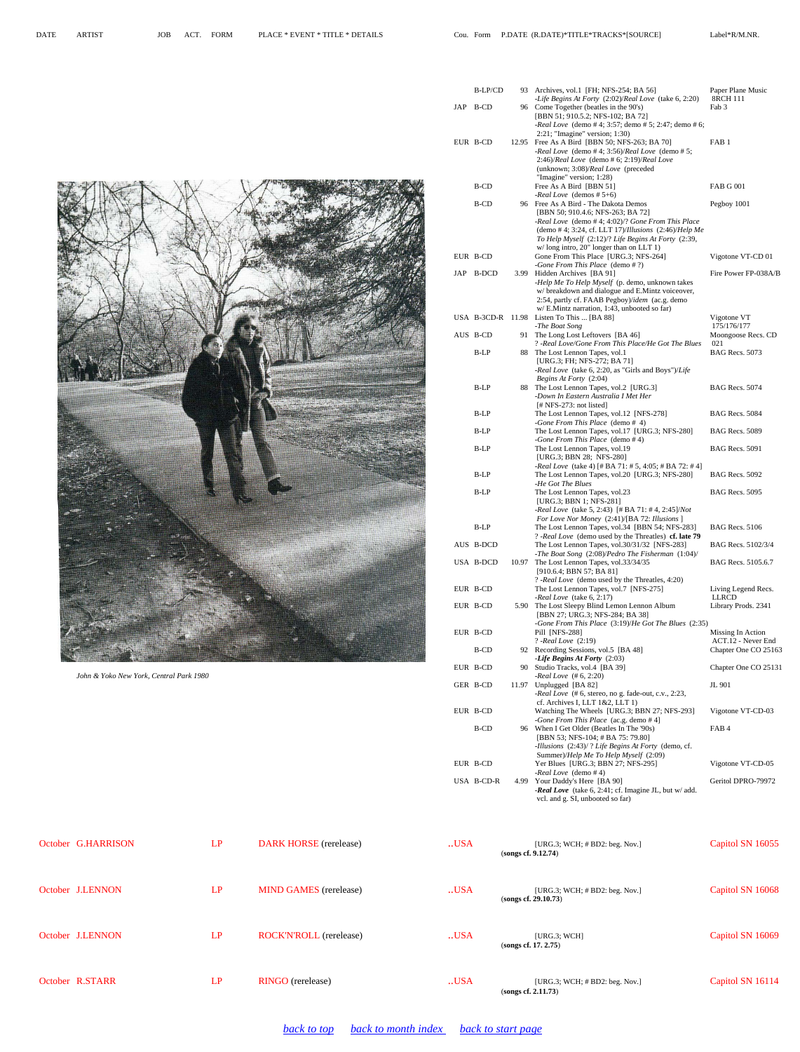DATE ARTIST JOB ACT. FORM PLACE \* EVENT \* TITLE \* DETAILS Cou. Form P.DATE (R.DATE)\*TITLE\*TRACKS\*[SOURCE] Label\*R/M.NR.



*John & Yoko New York, Central Park 1980* 

|                                         |    |                                | JAP B-CD<br>EUR B-CD<br>EUR B-CD<br>AUS B-CD | B-LP/CD<br>B-CD<br>B-CD<br>JAP B-DCD<br>B-LP |                      | 93 Archives, vol.1 [FH; NFS-254; BA 56]<br>-Life Begins At Forty $(2:02)/Real$ Love (take 6, 2:20)<br>96 Come Together (beatles in the 90's)<br>[BBN 51; 910.5.2; NFS-102; BA 72]<br>-Real Love (demo # 4; 3:57; demo # 5; 2:47; demo # 6;<br>$2:21$ ; "Imagine" version; 1:30)<br>12.95 Free As A Bird [BBN 50; NFS-263; BA 70]<br>-Real Love (demo # 4; 3:56)/Real Love (demo # 5;<br>$2:46$ )/Real Love (demo # 6; 2:19)/Real Love<br>(unknown; 3:08)/Real Love (preceded<br>"Imagine" version; 1:28)<br>Free As A Bird [BBN 51]<br>-Real Love (demos $#5+6$ )<br>96 Free As A Bird - The Dakota Demos<br>[BBN 50; 910.4.6; NFS-263; BA 72]<br>-Real Love (demo # 4; 4:02)/? Gone From This Place<br>(demo # 4; 3:24, cf. LLT 17)/ <i>Illusions</i> $(2:46)/Help$ <i>Me</i><br>To Help Myself (2:12)/? Life Begins At Forty (2:39,<br>$w/$ long intro, 20" longer than on LLT 1)<br>Gone From This Place [URG.3; NFS-264]<br>-Gone From This Place (demo #?)<br>3.99 Hidden Archives [BA 91]<br>-Help Me To Help Myself (p. demo, unknown takes<br>w/breakdown and dialogue and E.Mintz voiceover,<br>2:54, partly cf. FAAB Pegboy)/idem (ac.g. demo<br>$w/E.Mintz$ narration, 1:43, unbooted so far)<br>USA B-3CD-R 11.98 Listen To This  [BA 88]<br>-The Boat Song<br>91 The Long Lost Leftovers [BA 46]<br>? - Real Love/Gone From This Place/He Got The Blues<br>88 The Lost Lennon Tapes, vol.1 | Paper Plane Music<br>8RCH 111<br>Fab 3<br>FAB <sub>1</sub><br><b>FAB G 001</b><br>Pegboy 1001<br>Vigotone VT-CD 01<br>Fire Power FP-038A/B<br>Vigotone VT<br>175/176/177<br>Moongoose Recs. CD<br>021<br>BAG Recs. 5073 |
|-----------------------------------------|----|--------------------------------|----------------------------------------------|----------------------------------------------|----------------------|---------------------------------------------------------------------------------------------------------------------------------------------------------------------------------------------------------------------------------------------------------------------------------------------------------------------------------------------------------------------------------------------------------------------------------------------------------------------------------------------------------------------------------------------------------------------------------------------------------------------------------------------------------------------------------------------------------------------------------------------------------------------------------------------------------------------------------------------------------------------------------------------------------------------------------------------------------------------------------------------------------------------------------------------------------------------------------------------------------------------------------------------------------------------------------------------------------------------------------------------------------------------------------------------------------------------------------------------------------------------------------------------------------|-------------------------------------------------------------------------------------------------------------------------------------------------------------------------------------------------------------------------|
|                                         |    |                                |                                              | B-LP                                         |                      | [URG.3; FH; NFS-272; BA 71]<br>-Real Love (take 6, 2:20, as "Girls and Boys")/Life<br>Begins At Forty (2:04)<br>88 The Lost Lennon Tapes, vol.2 [URG.3]<br>-Down In Eastern Australia I Met Her                                                                                                                                                                                                                                                                                                                                                                                                                                                                                                                                                                                                                                                                                                                                                                                                                                                                                                                                                                                                                                                                                                                                                                                                         | BAG Recs. 5074                                                                                                                                                                                                          |
|                                         |    |                                |                                              | B-LP                                         |                      | $[$ # NFS-273: not listed]<br>The Lost Lennon Tapes, vol.12 [NFS-278]<br>-Gone From This Place (demo # 4)                                                                                                                                                                                                                                                                                                                                                                                                                                                                                                                                                                                                                                                                                                                                                                                                                                                                                                                                                                                                                                                                                                                                                                                                                                                                                               | BAG Recs. 5084                                                                                                                                                                                                          |
|                                         |    |                                |                                              | B-LP                                         |                      | The Lost Lennon Tapes, vol.17 [URG.3; NFS-280]<br>-Gone From This Place (demo #4)                                                                                                                                                                                                                                                                                                                                                                                                                                                                                                                                                                                                                                                                                                                                                                                                                                                                                                                                                                                                                                                                                                                                                                                                                                                                                                                       | BAG Recs. 5089                                                                                                                                                                                                          |
|                                         |    |                                |                                              | B-LP                                         |                      | The Lost Lennon Tapes, vol.19<br>[URG.3; BBN 28; NFS-280]                                                                                                                                                                                                                                                                                                                                                                                                                                                                                                                                                                                                                                                                                                                                                                                                                                                                                                                                                                                                                                                                                                                                                                                                                                                                                                                                               | BAG Recs. 5091                                                                                                                                                                                                          |
|                                         |    |                                |                                              | B-LP                                         |                      | -Real Love (take 4) [# BA 71: # 5, 4:05; # BA 72: # 4]<br>The Lost Lennon Tapes, vol.20 [URG.3; NFS-280]                                                                                                                                                                                                                                                                                                                                                                                                                                                                                                                                                                                                                                                                                                                                                                                                                                                                                                                                                                                                                                                                                                                                                                                                                                                                                                | BAG Recs. 5092                                                                                                                                                                                                          |
|                                         |    |                                |                                              | B-LP                                         |                      | -He Got The Blues<br>The Lost Lennon Tapes, vol.23<br>[URG.3; BBN 1; NFS-281]<br>-Real Love (take 5, 2:43) [# BA 71: #4, 2:45]/Not                                                                                                                                                                                                                                                                                                                                                                                                                                                                                                                                                                                                                                                                                                                                                                                                                                                                                                                                                                                                                                                                                                                                                                                                                                                                      | BAG Recs. 5095                                                                                                                                                                                                          |
|                                         |    |                                |                                              | B-LP                                         |                      | For Love Nor Money (2:41)/[BA 72: Illusions]<br>The Lost Lennon Tapes, vol.34 [BBN 54; NFS-283]                                                                                                                                                                                                                                                                                                                                                                                                                                                                                                                                                                                                                                                                                                                                                                                                                                                                                                                                                                                                                                                                                                                                                                                                                                                                                                         | BAG Recs. 5106                                                                                                                                                                                                          |
|                                         |    |                                |                                              | AUS B-DCD                                    |                      | ? -Real Love (demo used by the Threatles) cf. late 79<br>The Lost Lennon Tapes, vol.30/31/32 [NFS-283]                                                                                                                                                                                                                                                                                                                                                                                                                                                                                                                                                                                                                                                                                                                                                                                                                                                                                                                                                                                                                                                                                                                                                                                                                                                                                                  | BAG Recs. 5102/3/4                                                                                                                                                                                                      |
|                                         |    |                                |                                              | USA B-DCD                                    |                      | -The Boat Song (2:08)/Pedro The Fisherman (1:04)/<br>10.97 The Lost Lennon Tapes, vol.33/34/35                                                                                                                                                                                                                                                                                                                                                                                                                                                                                                                                                                                                                                                                                                                                                                                                                                                                                                                                                                                                                                                                                                                                                                                                                                                                                                          | BAG Recs. 5105.6.7                                                                                                                                                                                                      |
|                                         |    |                                |                                              |                                              |                      | [910.6.4; BBN 57; BA 81]<br>? - Real Love (demo used by the Threatles, 4:20)                                                                                                                                                                                                                                                                                                                                                                                                                                                                                                                                                                                                                                                                                                                                                                                                                                                                                                                                                                                                                                                                                                                                                                                                                                                                                                                            |                                                                                                                                                                                                                         |
|                                         |    |                                | EUR B-CD<br>EUR B-CD                         |                                              |                      | The Lost Lennon Tapes, vol.7 [NFS-275]<br>-Real Love (take $6, 2:17$ )<br>5.90 The Lost Sleepy Blind Lemon Lennon Album<br>[BBN 27; URG.3; NFS-284; BA 38]<br>-Gone From This Place (3:19)/He Got The Blues (2:35)                                                                                                                                                                                                                                                                                                                                                                                                                                                                                                                                                                                                                                                                                                                                                                                                                                                                                                                                                                                                                                                                                                                                                                                      | Living Legend Recs.<br>LLRCD<br>Library Prods. 2341                                                                                                                                                                     |
|                                         |    |                                | EUR B-CD                                     |                                              |                      | Pill [NFS-288]<br>$?$ -Real Love $(2:19)$                                                                                                                                                                                                                                                                                                                                                                                                                                                                                                                                                                                                                                                                                                                                                                                                                                                                                                                                                                                                                                                                                                                                                                                                                                                                                                                                                               | Missing In Action<br>ACT.12 - Never End                                                                                                                                                                                 |
|                                         |    |                                |                                              | B-CD                                         |                      | 92 Recording Sessions, vol.5 [BA 48]<br>-Life Begins At Forty $(2:03)$                                                                                                                                                                                                                                                                                                                                                                                                                                                                                                                                                                                                                                                                                                                                                                                                                                                                                                                                                                                                                                                                                                                                                                                                                                                                                                                                  | Chapter One CO 2516.                                                                                                                                                                                                    |
| John & Yoko New York, Central Park 1980 |    |                                | EUR B-CD                                     |                                              |                      | 90 Studio Tracks, vol.4 [BA 39]<br>-Real Love $(\# 6, 2:20)$                                                                                                                                                                                                                                                                                                                                                                                                                                                                                                                                                                                                                                                                                                                                                                                                                                                                                                                                                                                                                                                                                                                                                                                                                                                                                                                                            | Chapter One CO 2513                                                                                                                                                                                                     |
|                                         |    |                                | GER B-CD                                     |                                              |                      | 11.97 Unplugged [BA 82]<br>-Real Love (#6, stereo, no g. fade-out, c.v., 2:23,                                                                                                                                                                                                                                                                                                                                                                                                                                                                                                                                                                                                                                                                                                                                                                                                                                                                                                                                                                                                                                                                                                                                                                                                                                                                                                                          | JL 901                                                                                                                                                                                                                  |
|                                         |    |                                | EUR B-CD                                     | B-CD                                         |                      | cf. Archives I, LLT $1&2$ , LLT $1)$<br>Watching The Wheels [URG.3; BBN 27; NFS-293]<br>-Gone From This Place (ac.g. demo # 4]<br>96 When I Get Older (Beatles In The '90s)                                                                                                                                                                                                                                                                                                                                                                                                                                                                                                                                                                                                                                                                                                                                                                                                                                                                                                                                                                                                                                                                                                                                                                                                                             | Vigotone VT-CD-03<br>FAB4                                                                                                                                                                                               |
|                                         |    |                                |                                              |                                              |                      | [BBN 53; NFS-104; # BA 75: 79.80]<br>-Illusions (2:43)/ ? Life Begins At Forty (demo, cf.<br>Summer)/Help Me To Help Myself (2:09)                                                                                                                                                                                                                                                                                                                                                                                                                                                                                                                                                                                                                                                                                                                                                                                                                                                                                                                                                                                                                                                                                                                                                                                                                                                                      |                                                                                                                                                                                                                         |
|                                         |    |                                | EUR B-CD                                     |                                              |                      | Yer Blues [URG.3; BBN 27; NFS-295]<br>-Real Love (demo #4)                                                                                                                                                                                                                                                                                                                                                                                                                                                                                                                                                                                                                                                                                                                                                                                                                                                                                                                                                                                                                                                                                                                                                                                                                                                                                                                                              | Vigotone VT-CD-05                                                                                                                                                                                                       |
|                                         |    |                                |                                              | USA B-CD-R                                   |                      | 4.99 Your Daddy's Here [BA 90]<br>-Real Love (take $6, 2:41$ ; cf. Imagine JL, but w/ add.<br>vcl. and g. SI, unbooted so far)                                                                                                                                                                                                                                                                                                                                                                                                                                                                                                                                                                                                                                                                                                                                                                                                                                                                                                                                                                                                                                                                                                                                                                                                                                                                          | Geritol DPRO-79972                                                                                                                                                                                                      |
| October G.HARRISON                      | LP | <b>DARK HORSE</b> (rerelease)  | . <i>USA</i>                                 |                                              | (songs cf. 9.12.74)  | [URG.3; WCH; # BD2: beg. Nov.]                                                                                                                                                                                                                                                                                                                                                                                                                                                                                                                                                                                                                                                                                                                                                                                                                                                                                                                                                                                                                                                                                                                                                                                                                                                                                                                                                                          | Capitol SN 16055                                                                                                                                                                                                        |
| October J.LENNON                        | LP | <b>MIND GAMES</b> (rerelease)  | . <i>USA</i>                                 |                                              | (songs cf. 29.10.73) | [URG.3; WCH; # BD2: beg. Nov.]                                                                                                                                                                                                                                                                                                                                                                                                                                                                                                                                                                                                                                                                                                                                                                                                                                                                                                                                                                                                                                                                                                                                                                                                                                                                                                                                                                          | Capitol SN 16068                                                                                                                                                                                                        |
| October J.LENNON                        | LP | <b>ROCK'N'ROLL</b> (rerelease) | . <i>USA</i>                                 |                                              | (songs cf. 17. 2.75) | [URG.3; WCH]                                                                                                                                                                                                                                                                                                                                                                                                                                                                                                                                                                                                                                                                                                                                                                                                                                                                                                                                                                                                                                                                                                                                                                                                                                                                                                                                                                                            | Capitol SN 16069                                                                                                                                                                                                        |
| October R.STARR                         | LP | RINGO (rerelease)              | . <i>USA</i>                                 |                                              | (songs cf. 2.11.73)  | [URG.3; WCH; # BD2: beg. Nov.]                                                                                                                                                                                                                                                                                                                                                                                                                                                                                                                                                                                                                                                                                                                                                                                                                                                                                                                                                                                                                                                                                                                                                                                                                                                                                                                                                                          | Capitol SN 16114                                                                                                                                                                                                        |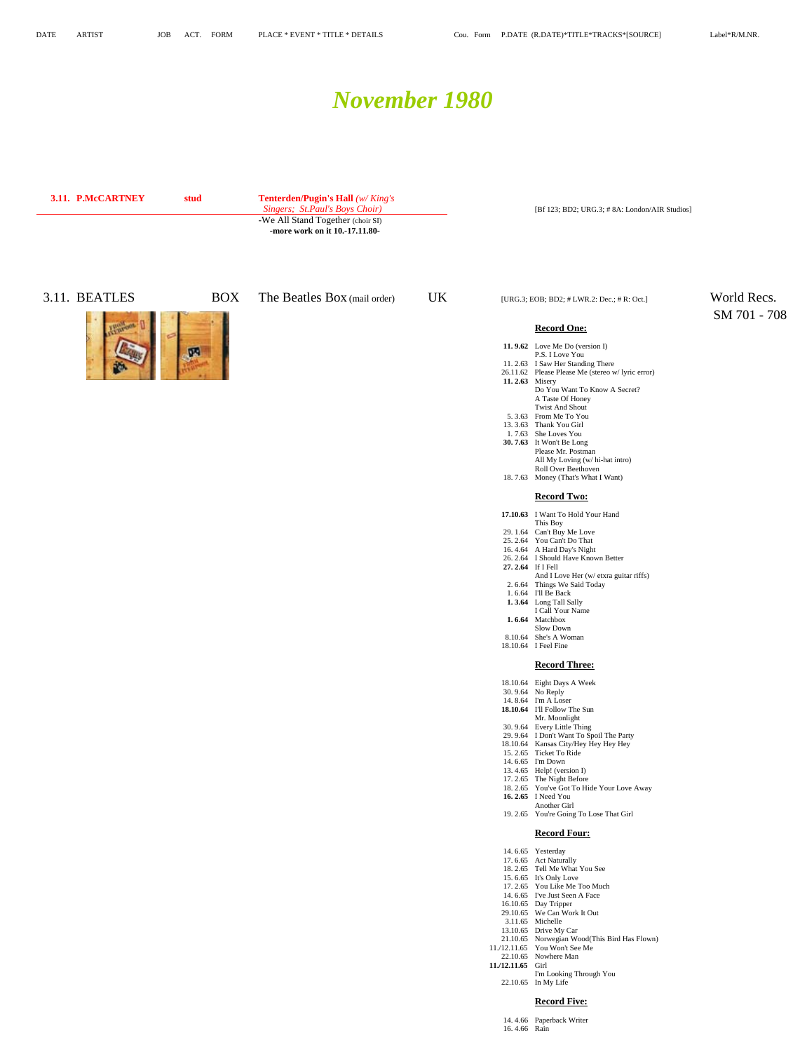## *November 1980*

| 3.11. P.McCARTNEY | stud       | Tenterden/Pugin's Hall (w/King's<br><b>Singers</b> ; St. Paul's Boys Choir)<br>-We All Stand Together (choir SI)<br>-more work on it 10.-17.11.80- |    |                | [Bf 123; BD2; URG.3; # 8A: London/AIR Studios]                                                                                                 |                             |
|-------------------|------------|----------------------------------------------------------------------------------------------------------------------------------------------------|----|----------------|------------------------------------------------------------------------------------------------------------------------------------------------|-----------------------------|
| 3.11. BEATLES     | <b>BOX</b> | The Beatles Box (mail order)                                                                                                                       | UK |                | [URG.3; EOB; BD2; # LWR.2: Dec.; # R: Oct.]                                                                                                    | World Recs.<br>SM 701 - 708 |
|                   |            |                                                                                                                                                    |    |                | <b>Record One:</b>                                                                                                                             |                             |
|                   | V.         |                                                                                                                                                    |    | 11.2.63 Misery | 11. $9.62$ Love Me Do (version I)<br>P.S. I Love You<br>11. 2.63 I Saw Her Standing There<br>26.11.62 Please Please Me (stereo w/ lyric error) |                             |
|                   |            |                                                                                                                                                    |    |                | Do You Want To Know A Secret?<br>A Taste Of Honey<br><b>Twist And Shout</b><br>5.3.63 From Me To You                                           |                             |
|                   |            |                                                                                                                                                    |    |                | 13.3.63 Thank You Girl<br>1.7.63 She Loves You                                                                                                 |                             |
|                   |            |                                                                                                                                                    |    |                | 30.7.63 It Won't Be Long<br>Please Mr. Postman<br>All My Loving (w/ hi-hat intro)                                                              |                             |
|                   |            |                                                                                                                                                    |    |                | Roll Over Beethoven<br>18.7.63 Money (That's What I Want)                                                                                      |                             |
|                   |            |                                                                                                                                                    |    |                | <b>Record Two:</b>                                                                                                                             |                             |
|                   |            |                                                                                                                                                    |    |                | 17.10.63 I Want To Hold Your Hand                                                                                                              |                             |
|                   |            |                                                                                                                                                    |    |                | This Boy<br>29. 1.64 Can't Buy Me Love                                                                                                         |                             |
|                   |            |                                                                                                                                                    |    |                | 25.2.64 You Can't Do That<br>16.4.64 A Hard Day's Night                                                                                        |                             |
|                   |            |                                                                                                                                                    |    |                | 26. 2.64 I Should Have Known Better                                                                                                            |                             |
|                   |            |                                                                                                                                                    |    |                | 27.2.64 If I Fell<br>And I Love Her (w/ etxra guitar riffs)                                                                                    |                             |
|                   |            |                                                                                                                                                    |    |                | 2. 6.64 Things We Said Today<br>1.6.64 I'll Be Back                                                                                            |                             |
|                   |            |                                                                                                                                                    |    |                | 1.3.64 Long Tall Sally<br>I Call Your Name                                                                                                     |                             |
|                   |            |                                                                                                                                                    |    |                | $1.6.64$ Matchbox<br>Slow Down                                                                                                                 |                             |
|                   |            |                                                                                                                                                    |    |                | 8.10.64 She's A Woman<br>18.10.64 I Feel Fine                                                                                                  |                             |
|                   |            |                                                                                                                                                    |    |                | <b>Record Three:</b>                                                                                                                           |                             |
|                   |            |                                                                                                                                                    |    |                | 18.10.64 Eight Days A Week                                                                                                                     |                             |
|                   |            |                                                                                                                                                    |    |                | 30.9.64 No Reply<br>14.8.64 I'm A Loser                                                                                                        |                             |
|                   |            |                                                                                                                                                    |    |                | 18.10.64 I'll Follow The Sun<br>Mr. Moonlight                                                                                                  |                             |
|                   |            |                                                                                                                                                    |    |                | 30.9.64 Every Little Thing<br>29. 9.64 I Don't Want To Spoil The Party                                                                         |                             |
|                   |            |                                                                                                                                                    |    |                | 18.10.64 Kansas City/Hey Hey Hey Hey                                                                                                           |                             |
|                   |            |                                                                                                                                                    |    |                | 15.2.65 Ticket To Ride<br>14.6.65 I'm Down                                                                                                     |                             |
|                   |            |                                                                                                                                                    |    |                | 13.4.65 Help! (version I)<br>17.2.65 The Night Before                                                                                          |                             |
|                   |            |                                                                                                                                                    |    |                | 18. 2.65 You've Got To Hide Your Love Away<br>16.2.65 I Need You                                                                               |                             |
|                   |            |                                                                                                                                                    |    |                | Another Girl<br>19. 2.65 You're Going To Lose That Girl                                                                                        |                             |
|                   |            |                                                                                                                                                    |    |                | <b>Record Four:</b>                                                                                                                            |                             |
|                   |            |                                                                                                                                                    |    |                | 14.6.65 Yesterday                                                                                                                              |                             |
|                   |            |                                                                                                                                                    |    |                | 17.6.65 Act Naturally<br>18. 2.65 Tell Me What You See                                                                                         |                             |
|                   |            |                                                                                                                                                    |    |                | 15.6.65 It's Only Love<br>17.2.65 You Like Me Too Much                                                                                         |                             |
|                   |            |                                                                                                                                                    |    |                | 14. 6.65 I've Just Seen A Face<br>16.10.65 Day Tripper                                                                                         |                             |
|                   |            |                                                                                                                                                    |    |                | 29.10.65 We Can Work It Out<br>3.11.65 Michelle                                                                                                |                             |
|                   |            |                                                                                                                                                    |    |                | 13.10.65 Drive My Car                                                                                                                          |                             |

21.10.65 Norwegian Wood(This Bird Has Flown)

- 11./12.11.65 You Won't See Me  $22.10.65$  Nowhere Man **11./12.11.65** Girl
- I'm Looking Through You 22.10.65 In My Life

### **Record Five:**

 14. 4.66 Paperback Writer 16. 4.66 Rain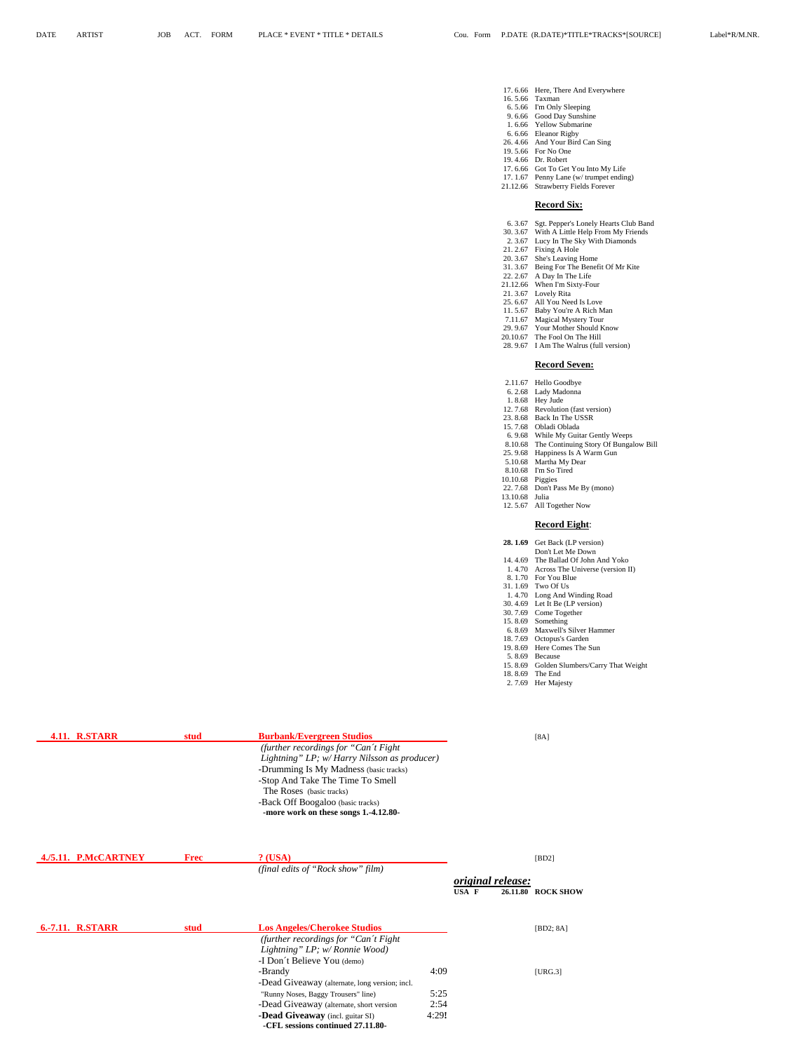- 17. 6.66 Here, There And Everywhere
- 16. 5.66 Taxman
- 6. 5.66 I'm Only Sleeping 9. 6.66 Good Day Sunshine
- 1. 6.66 Yellow Submarine
- 6. 6.66 Eleanor Rigby
- 26. 4.66 And Your Bird Can Sing
- 19. 5.66 For No One 19. 4.66 Dr*.* Robert
- 17. 6.66 Got To Get You Into My Life
- 17. 1.67 Penny Lane (w/ trumpet ending) 21.12.66 Strawberry Fields Forever
- **Record Six: Record Six:** 
	-
	- 6. 3.67 Sgt. Pepper's Lonely Hearts Club Band
	- 30. 3.67 With A Little Help From My Friends 2. 3.67 Lucy In The Sky With Diamonds
	- 21. 2.67 Fixing A Hole
	- 20. 3.67 She's Leaving Home
	- 31. 3.67 Being For The Benefit Of Mr Kite 22. 2.67 A Day In The Life
	- 21.12.66 When I'm Sixty-Four
	- 21. 3.67 Lovely Rita
	- 25. 6.67 All You Need Is Love 11. 5.67 Baby You're A Rich Man
	- 7.11.67 Magical Mystery Tour
	- 29. 9.67 Your Mother Should Know
	- 20.10.67 The Fool On The Hill 28. 9.67 I Am The Walrus (full version)

### **Record Seven:**

- 2.11.67 Hello Goodbye
- 6. 2.68 Lady Madonna
- 1. 8.68 Hey Jude
- 12. 7.68 Revolution (fast version)
- 23. 8.68 Back In The USSR
- 15. 7.68 Obladi Oblada 6. 9.68 While My Guitar Gently Weeps
- 8.10.68 The Continuing Story Of Bungalow Bill
- 25. 9.68 Happiness Is A Warm Gun
- 5.10.68 Martha My Dear
- 8.10.68 I'm So Tired 10.10.68 Piggies
	-
- 22. 7.68 Don't Pass Me By (mono)<br>13.10.68 Julia 13.10.68 Julia
	- 12. 5.67 All Together Now

#### **Record Eight**:

- **28. 1.69** Get Back (LP version)
- Don't Let Me Down
	- 14. 4.69 The Ballad Of John And Yoko 1. 4.70 Across The Universe (version II)
	- 8. 1.70 For You Blue
	- 31. 1.69 Two Of Us
	- 1. 4.70 Long And Winding Road
	- 30. 4.69 Let It Be (LP version) 30. 7.69 Come Together
	- 15. 8.69 Something
	- 6. 8.69 Maxwell's Silver Hammer
	- 18. 7.69 Octopus's Garden 19. 8.69 Here Comes The Sun
	- 5. 8.69 Because
	- 15. 8.69 Golden Slumbers/Carry That Weight
	- 18. 8.69 The End 2. 7.69 Her Majesty
- **4.11. R.STARR stud Burbank/Evergreen Studios** [8A] *(further recordings for "Can´t Fight Lightning" LP; w/ Harry Nilsson as producer)*  -Drumming Is My Madness (basic tracks) -Stop And Take The Time To Smell The Roses (basic tracks) -Back Off Boogaloo (basic tracks) **-more work on these songs 1.-4.12.80- 4./5.11. P.McCARTNEY Frec ? (USA)** (BD2) *(final edits of "Rock show" film) original release:***USA F 26.11.80 ROCK SHOW**

| <b>6.-7.11. R.STARR</b> | stud | <b>Los Angeles/Cherokee Studios</b>            |       |         |  |  |
|-------------------------|------|------------------------------------------------|-------|---------|--|--|
|                         |      | (further recordings for "Can't Fight")         |       |         |  |  |
|                         |      | Lightning" LP; w/Ronnie Wood)                  |       |         |  |  |
|                         |      | -I Don't Believe You (demo)                    |       |         |  |  |
|                         |      | -Brandy                                        | 4:09  | [URG.3] |  |  |
|                         |      | -Dead Giveaway (alternate, long version; incl. |       |         |  |  |
|                         |      | "Runny Noses, Baggy Trousers" line)            | 5:25  |         |  |  |
|                         |      | -Dead Giveaway (alternate, short version)      | 2:54  |         |  |  |
|                         |      | <b>-Dead Giveaway</b> (incl. guitar SI)        | 4:29! |         |  |  |
|                         |      | -CFL sessions continued 27.11.80-              |       |         |  |  |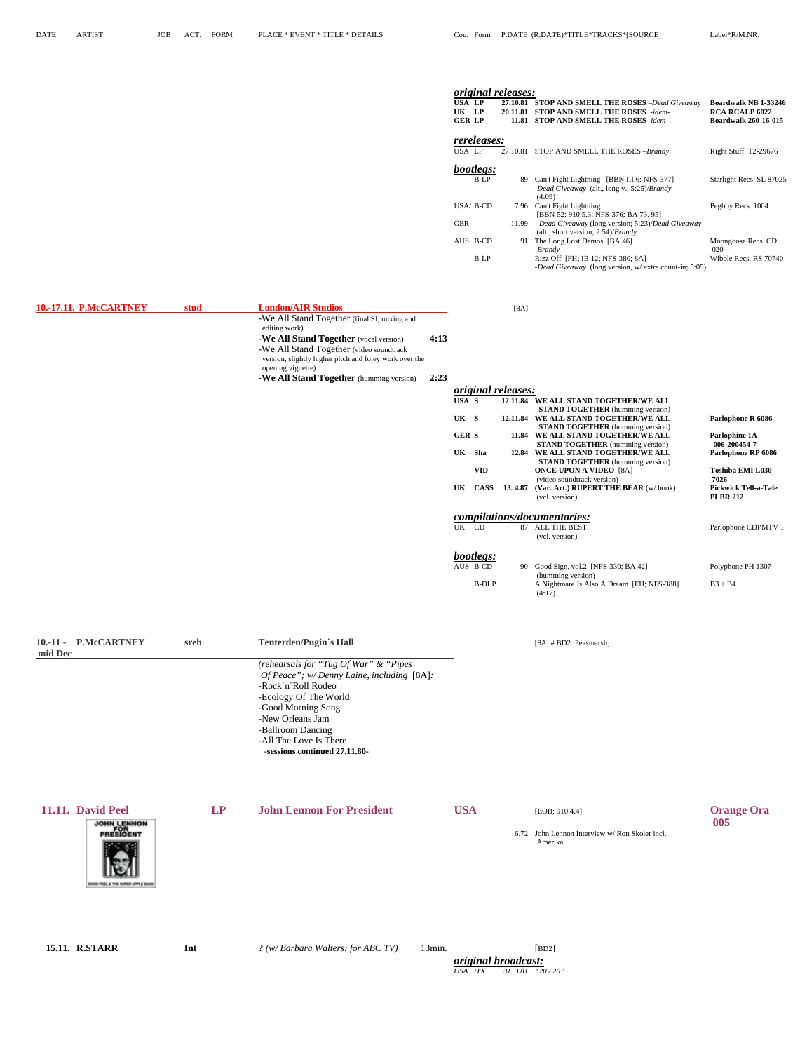|                               |      |                                                                                                                                                                                                                                                                                |              | <i>original releases:</i><br>USA S<br>$IIK$ S                        |      | 12.11.84 WE ALL STAND TOGETHER/WE ALL<br><b>STAND TOGETHER</b> (humming version)<br>12.11.84 WE ALL STAND TOGETHER/WE ALL             | Parlophone R 6086                                                            |
|-------------------------------|------|--------------------------------------------------------------------------------------------------------------------------------------------------------------------------------------------------------------------------------------------------------------------------------|--------------|----------------------------------------------------------------------|------|---------------------------------------------------------------------------------------------------------------------------------------|------------------------------------------------------------------------------|
|                               |      | -We All Stand Together (final SI, mixing and<br>editing work)<br>-We All Stand Together (vocal version)<br>-We All Stand Together (video soundtrack<br>version, slightly higher pitch and foley work over the<br>opening vignette)<br>-We All Stand Together (humming version) | 4:13<br>2:23 |                                                                      |      |                                                                                                                                       |                                                                              |
| <b>10.-17.11. P.McCARTNEY</b> | stud | <b>London/AIR Studios</b>                                                                                                                                                                                                                                                      |              |                                                                      | [8A] |                                                                                                                                       |                                                                              |
|                               |      |                                                                                                                                                                                                                                                                                |              | B-LP                                                                 |      | -Brandy<br>Rizz Off [FH; IB 12; NFS-380; 8A]<br>-Dead Giveaway (long version, w/ extra count-in; 5:05)                                | 020<br>Wibble Recs. RS 70740                                                 |
|                               |      |                                                                                                                                                                                                                                                                                |              | AUS B-CD                                                             |      | (alt., short version; 2:54)/Brandy<br>91 The Long Lost Demos [BA 46]                                                                  | Moongoose Recs. CD                                                           |
|                               |      |                                                                                                                                                                                                                                                                                |              | <b>GER</b>                                                           |      | [BBN 52; 910.5.3; NFS-376; BA 73. 95]<br>11.99 -Dead Giveaway (long version; 5:23)/Dead Giveaway                                      |                                                                              |
|                               |      |                                                                                                                                                                                                                                                                                |              | $B-LP$<br>USA/B-CD                                                   |      | 89 Can't Fight Lightning [BBN III.6; NFS-377]<br>-Dead Giveaway (alt., long v., 5:25)/Brandy<br>(4:09)<br>7.96 Can't Fight Lightning  | Starlight Recs. SL 87025<br>Pegboy Recs. 1004                                |
|                               |      |                                                                                                                                                                                                                                                                                |              | rereleases:<br>USA LP<br>bootlegs:                                   |      | 27.10.81 STOP AND SMELL THE ROSES -Brandy                                                                                             | Right Stuff T2-29676                                                         |
|                               |      |                                                                                                                                                                                                                                                                                |              | <i>original releases:</i><br><b>USA LP</b><br>UK LP<br><b>GER LP</b> |      | 27.10.81 STOP AND SMELL THE ROSES -Dead Giveaway<br>20.11.81 STOP AND SMELL THE ROSES -idem-<br>11.81 STOP AND SMELL THE ROSES -idem- | Boardwalk NB 1-33246<br><b>RCA RCALP 6022</b><br><b>Boardwalk 260-16-015</b> |
|                               |      |                                                                                                                                                                                                                                                                                |              |                                                                      |      |                                                                                                                                       |                                                                              |

|         |                                                             |      |                                                                                                                                                                                                                                                              |                       |              | original releases: |                                                                                  |                                                |
|---------|-------------------------------------------------------------|------|--------------------------------------------------------------------------------------------------------------------------------------------------------------------------------------------------------------------------------------------------------------|-----------------------|--------------|--------------------|----------------------------------------------------------------------------------|------------------------------------------------|
|         |                                                             |      |                                                                                                                                                                                                                                                              | USA S                 |              |                    | 12.11.84 WE ALL STAND TOGETHER/WE ALL<br><b>STAND TOGETHER</b> (humming version) |                                                |
|         |                                                             |      |                                                                                                                                                                                                                                                              | UK S                  |              |                    | 12.11.84 WE ALL STAND TOGETHER/WE ALL<br><b>STAND TOGETHER</b> (humming version) | Parlophone R 6086                              |
|         |                                                             |      |                                                                                                                                                                                                                                                              | <b>GER S</b>          |              |                    | 11.84 WE ALL STAND TOGETHER/WE ALL<br><b>STAND TOGETHER</b> (humming version)    | Parlophine 1A<br>006-200454-7                  |
|         |                                                             |      |                                                                                                                                                                                                                                                              | UK Sha                |              |                    | 12.84 WE ALL STAND TOGETHER/WE ALL<br><b>STAND TOGETHER</b> (humming version)    | Parlophone RP 6086                             |
|         |                                                             |      |                                                                                                                                                                                                                                                              |                       | <b>VID</b>   |                    | <b>ONCE UPON A VIDEO</b> [8A]<br>(video soundtrack version)                      | Toshiba EMI L030-<br>7026                      |
|         |                                                             |      |                                                                                                                                                                                                                                                              | UK CASS               |              |                    | 13.4.87 (Var. Art.) RUPERT THE BEAR (w/book)<br>(vcl. version)                   | <b>Pickwick Tell-a-Tale</b><br><b>PLBR 212</b> |
|         |                                                             |      |                                                                                                                                                                                                                                                              | $UK$ $CD$             |              |                    | compilations/documentaries:<br>87 ALL THE BEST!                                  |                                                |
|         |                                                             |      |                                                                                                                                                                                                                                                              |                       |              |                    | (vcl. version)                                                                   | Parlophone CDPMTV 1                            |
|         |                                                             |      |                                                                                                                                                                                                                                                              | bootlegs:<br>AUS B-CD |              |                    | 90 Good Sign, vol.2 [NFS-330; BA 42]                                             | Polyphone PH 1307                              |
|         |                                                             |      |                                                                                                                                                                                                                                                              |                       |              |                    | (humming version)                                                                |                                                |
|         |                                                             |      |                                                                                                                                                                                                                                                              |                       | <b>B-DLP</b> |                    | A Nightmare Is Also A Dream [FH; NFS-388]<br>(4:17)                              | $B3 + B4$                                      |
|         |                                                             |      |                                                                                                                                                                                                                                                              |                       |              |                    |                                                                                  |                                                |
| mid Dec | 10.-11 - P.McCARTNEY                                        | sreh | <b>Tenterden/Pugin's Hall</b>                                                                                                                                                                                                                                |                       |              |                    | [8A; # BD2: Peasmarsh]                                                           |                                                |
|         |                                                             |      | (rehearsals for "Tug Of War" & "Pipes<br>Of Peace"; w/ Denny Laine, including [8A]:<br>-Rock'n Roll Rodeo<br>-Ecology Of The World<br>-Good Morning Song<br>-New Orleans Jam<br>-Ballroom Dancing<br>-All The Love Is There<br>-sessions continued 27.11.80- |                       |              |                    |                                                                                  |                                                |
|         | 11.11. David Peel                                           | LP   | <b>John Lennon For President</b>                                                                                                                                                                                                                             | <b>USA</b>            |              |                    | [EOB; 910.4.4]                                                                   | <b>Orange Ora</b><br>005                       |
|         | JOHN LENNON<br>PRESIDENT<br>MID PEEL & THE SUPER APPLE BAND |      |                                                                                                                                                                                                                                                              |                       |              |                    | 6.72 John Lennon Interview w/ Ron Skoler incl.<br>Amerika                        |                                                |
|         | 15.11. R.STARR                                              | Int  | ? (w/Barbara Walters; for ABC TV)                                                                                                                                                                                                                            | 13min.                |              |                    | [BD2]                                                                            |                                                |

 *original broadcast:USA tTX 31. 3.81 "20 / 20"*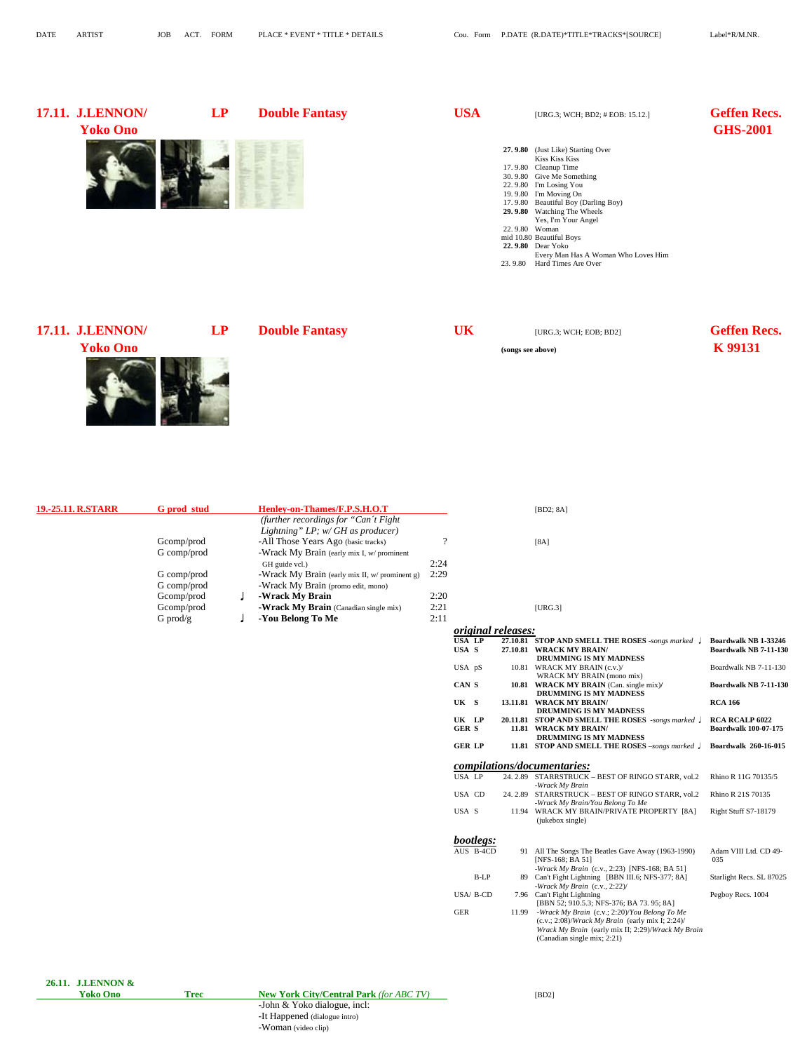| <b>17.11. J.LENNON/</b><br><b>Yoko Ono</b> | $\mathbf{L}\mathbf{P}$ | <b>Double Fantasy</b> | <b>USA</b> | [URG.3; WCH; BD2; # EOB: 15.12.]                                                                                                                                                                                                                                                                                                                                                                 | <b>Geffen Recs.</b><br><b>GHS-2001</b> |
|--------------------------------------------|------------------------|-----------------------|------------|--------------------------------------------------------------------------------------------------------------------------------------------------------------------------------------------------------------------------------------------------------------------------------------------------------------------------------------------------------------------------------------------------|----------------------------------------|
|                                            |                        |                       |            | 27.9.80 (Just Like) Starting Over<br>Kiss Kiss Kiss<br>17.9.80 Cleanup Time<br>30.9.80 Give Me Something<br>22.9.80 I'm Losing You<br>19.9.80 I'm Moving On<br>17.9.80 Beautiful Boy (Darling Boy)<br>29.9.80 Watching The Wheels<br>Yes, I'm Your Angel<br>22.9.80 Woman<br>mid 10.80 Beautiful Boys<br>22.9.80 Dear Yoko<br>Every Man Has A Woman Who Loves Him<br>23.9.80 Hard Times Are Over |                                        |

 **17.11. J.LENNON/ LP Double Fantasy UK UK UK UK EOB; BD2**] **Ceffen Recs.** 



| 19.-25.11. R.STARR | G prod stud | Henley-on-Thames/F.P.S.H.O.T                                                 |      |                    |          | [BD2; 8A]                                                                 |                              |
|--------------------|-------------|------------------------------------------------------------------------------|------|--------------------|----------|---------------------------------------------------------------------------|------------------------------|
|                    |             | (further recordings for "Can't Fight")<br>Lightning" LP; $w/GH$ as producer) |      |                    |          |                                                                           |                              |
|                    | Gcomp/prod  | -All Those Years Ago (basic tracks)                                          |      |                    |          | [8A]                                                                      |                              |
|                    | G comp/prod | -Wrack My Brain (early mix I, w/ prominent                                   |      |                    |          |                                                                           |                              |
|                    |             | GH guide vcl.)                                                               | 2:24 |                    |          |                                                                           |                              |
|                    | G comp/prod | -Wrack My Brain (early mix II, w/ prominent g)                               | 2:29 |                    |          |                                                                           |                              |
|                    | G comp/prod | -Wrack My Brain (promo edit, mono)                                           |      |                    |          |                                                                           |                              |
|                    | Gcomp/prod  | -Wrack My Brain                                                              | 2:20 |                    |          |                                                                           |                              |
|                    | Gcomp/prod  | -Wrack My Brain (Canadian single mix)                                        | 2:21 |                    |          | [URG.3]                                                                   |                              |
|                    | G prod/g    | -You Belong To Me                                                            | 2:11 |                    |          |                                                                           |                              |
|                    |             |                                                                              |      | original releases: |          |                                                                           |                              |
|                    |             |                                                                              |      | <b>USA LP</b>      |          | 27.10.81 STOP AND SMELL THE ROSES -songs marked.                          | <b>Boardwalk NB 1-33246</b>  |
|                    |             |                                                                              |      | USA S              | 27.10.81 | <b>WRACK MY BRAIN/</b>                                                    | <b>Boardwalk NB 7-11-130</b> |
|                    |             |                                                                              |      |                    |          | <b>DRUMMING IS MY MADNESS</b><br>WRACK MY BRAIN (c.v.)/                   | Boardwalk NB 7-11-130        |
|                    |             |                                                                              |      | USA pS             | 10.81    | WRACK MY BRAIN (mono mix)                                                 |                              |
|                    |             |                                                                              |      | CAN S              | 10.81    | <b>WRACK MY BRAIN</b> (Can. single mix)/<br><b>DRUMMING IS MY MADNESS</b> | <b>Boardwalk NB 7-11-130</b> |

|               |      |       | <b>DIVORTION TO BE THERE IN</b>                    |                              |
|---------------|------|-------|----------------------------------------------------|------------------------------|
| USA pS        |      | 10.81 | WRACK MY BRAIN (c.v.)/                             | Boardwalk NB 7-11-130        |
|               |      |       | WRACK MY BRAIN (mono mix)                          |                              |
| CAN S         |      |       | 10.81 WRACK MY BRAIN (Can. single mix)/            | <b>Boardwalk NB 7-11-130</b> |
|               |      |       | <b>DRUMMING IS MY MADNESS</b>                      |                              |
| UK S          |      |       | 13.11.81 WRACK MY BRAIN/                           | <b>RCA 166</b>               |
|               |      |       | <b>DRUMMING IS MY MADNESS</b>                      |                              |
| UK LP         |      |       | 20.11.81 STOP AND SMELL THE ROSES -songs marked J  | <b>RCA RCALP 6022</b>        |
| <b>GER S</b>  |      |       | 11.81 WRACK MY BRAIN/                              | <b>Boardwalk 100-07-175</b>  |
|               |      |       | <b>DRUMMING IS MY MADNESS</b>                      |                              |
| <b>GER LP</b> |      |       | 11.81 STOP AND SMELL THE ROSES -songs marked J     | <b>Boardwalk 260-16-015</b>  |
|               |      |       |                                                    |                              |
|               |      |       |                                                    |                              |
|               |      |       | compilations/documentaries:                        |                              |
| USA LP        |      |       | 24. 2.89 STARRSTRUCK - BEST OF RINGO STARR, vol.2  | Rhino R 11G 70135/5          |
|               |      |       | -Wrack My Brain                                    |                              |
| USA CD        |      |       | 24. 2.89 STARRSTRUCK – BEST OF RINGO STARR, vol.2  | Rhino R 21S 70135            |
|               |      |       | -Wrack My Brain/You Belong To Me                   |                              |
| USA S         |      |       | 11.94 WRACK MY BRAIN/PRIVATE PROPERTY [8A]         | Right Stuff S7-18179         |
|               |      |       | (jukebox single)                                   |                              |
|               |      |       |                                                    |                              |
|               |      |       |                                                    |                              |
| bootlegs:     |      |       |                                                    |                              |
| AUS B-4CD     |      |       | 91 All The Songs The Beatles Gave Away (1963-1990) | Adam VIII Ltd. CD 49-        |
|               |      |       | [NFS-168; BA 51]                                   | 035                          |
|               |      |       | -Wrack My Brain (c.v., 2:23) [NFS-168; BA 51]      |                              |
|               | B-LP |       | 89 Can't Fight Lightning [BBN III.6; NFS-377; 8A]  | Starlight Recs. SL 87025     |
|               |      |       | -Wrack My Brain $(c.v., 2:22)$ /                   |                              |
| USA/ B-CD     |      |       | 7.96 Can't Fight Lightning                         | Pegboy Recs. 1004            |
|               |      |       |                                                    |                              |
|               |      |       | [BBN 52; 910.5.3; NFS-376; BA 73. 95; 8A]          |                              |
| <b>GER</b>    |      | 11.99 | -Wrack My Brain (c.v.; 2:20)/You Belong To Me      |                              |
|               |      |       | $(c.v.; 2:08)/W$ rack My Brain (early mix I; 2:24) |                              |
|               |      |       | Wrack My Brain (early mix II; 2:29)/Wrack My Brain |                              |
|               |      |       | (Canadian single mix; 2:21)                        |                              |
|               |      |       |                                                    |                              |

 **26.11. J.LENNON &** 

 **Yoko Ono Trec New York City/Central Park** *(for ABC TV)* [BD2]

-John & Yoko dialogue, incl: -It Happened (dialogue intro) -Woman (video clip)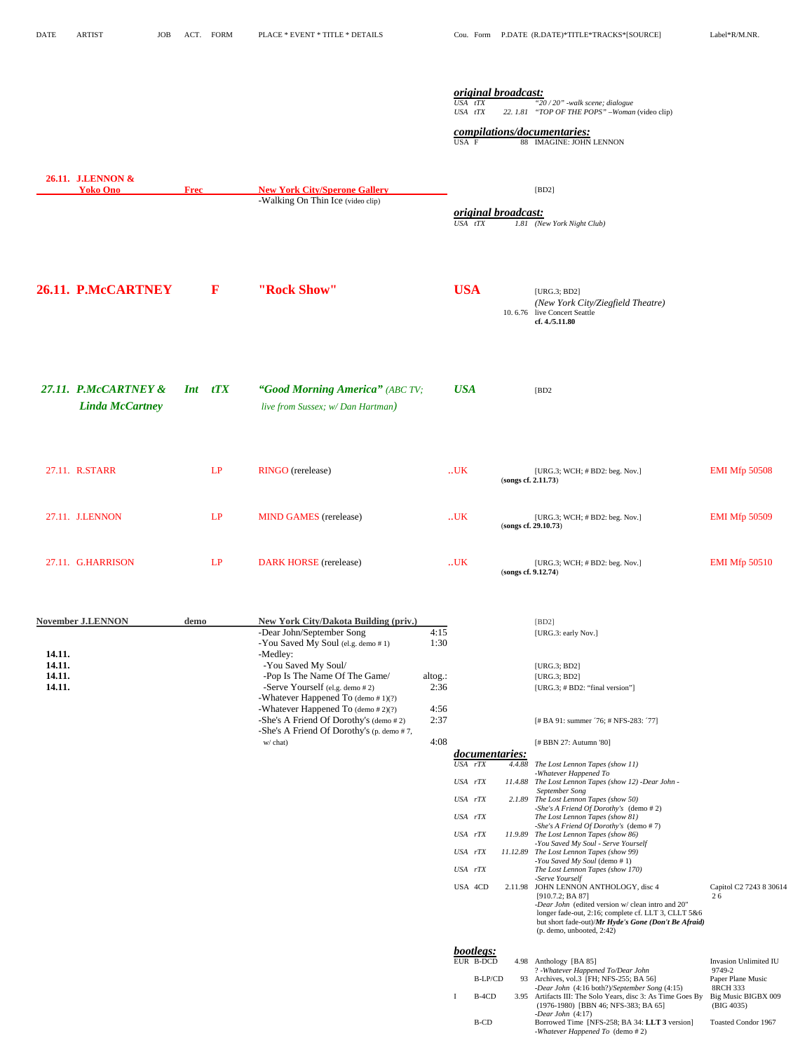| <b>Yoko Ono</b>        | <b>Frec</b>                                                                                                                                           |             | <b>New York City/Sperone Gallery</b><br>-Walking On Thin Ice (video clip)                                                                                                                                                                                                                                                                                                                              |                         | USA tTX<br>USA tTX<br>USA F<br>USA tTX                                                                                            |                                                            | " $20/20$ " -walk scene; dialogue<br>[BD2]                                                                                                                                                                                                                                                                                                                                                                                                                                                                                                                                                                                                                                                                                                                                                                              |                                                                                                                                                                                                                                                                                                                                                                                                                                                                                                                                                                                                                                                                                                                                                                                                                               |
|------------------------|-------------------------------------------------------------------------------------------------------------------------------------------------------|-------------|--------------------------------------------------------------------------------------------------------------------------------------------------------------------------------------------------------------------------------------------------------------------------------------------------------------------------------------------------------------------------------------------------------|-------------------------|-----------------------------------------------------------------------------------------------------------------------------------|------------------------------------------------------------|-------------------------------------------------------------------------------------------------------------------------------------------------------------------------------------------------------------------------------------------------------------------------------------------------------------------------------------------------------------------------------------------------------------------------------------------------------------------------------------------------------------------------------------------------------------------------------------------------------------------------------------------------------------------------------------------------------------------------------------------------------------------------------------------------------------------------|-------------------------------------------------------------------------------------------------------------------------------------------------------------------------------------------------------------------------------------------------------------------------------------------------------------------------------------------------------------------------------------------------------------------------------------------------------------------------------------------------------------------------------------------------------------------------------------------------------------------------------------------------------------------------------------------------------------------------------------------------------------------------------------------------------------------------------|
|                        |                                                                                                                                                       | $\mathbf F$ | "Rock Show"                                                                                                                                                                                                                                                                                                                                                                                            |                         | <b>USA</b>                                                                                                                        |                                                            | [URG.3; BD2]<br>(New York City/Ziegfield Theatre)<br>cf. 4./5.11.80                                                                                                                                                                                                                                                                                                                                                                                                                                                                                                                                                                                                                                                                                                                                                     |                                                                                                                                                                                                                                                                                                                                                                                                                                                                                                                                                                                                                                                                                                                                                                                                                               |
| <b>Linda McCartney</b> | <i>Int</i>                                                                                                                                            |             | live from Sussex; w/Dan Hartman)                                                                                                                                                                                                                                                                                                                                                                       |                         | <b>USA</b>                                                                                                                        |                                                            | [BD2]                                                                                                                                                                                                                                                                                                                                                                                                                                                                                                                                                                                                                                                                                                                                                                                                                   |                                                                                                                                                                                                                                                                                                                                                                                                                                                                                                                                                                                                                                                                                                                                                                                                                               |
|                        |                                                                                                                                                       | LP          | RINGO (rerelease)                                                                                                                                                                                                                                                                                                                                                                                      |                         |                                                                                                                                   |                                                            | [URG.3; WCH; # BD2: beg. Nov.]                                                                                                                                                                                                                                                                                                                                                                                                                                                                                                                                                                                                                                                                                                                                                                                          | <b>EMI Mfp 50508</b>                                                                                                                                                                                                                                                                                                                                                                                                                                                                                                                                                                                                                                                                                                                                                                                                          |
|                        |                                                                                                                                                       | LP          | <b>MIND GAMES</b> (rerelease)                                                                                                                                                                                                                                                                                                                                                                          |                         |                                                                                                                                   |                                                            | [URG.3; WCH; # BD2: beg. Nov.]                                                                                                                                                                                                                                                                                                                                                                                                                                                                                                                                                                                                                                                                                                                                                                                          | <b>EMI Mfp 50509</b>                                                                                                                                                                                                                                                                                                                                                                                                                                                                                                                                                                                                                                                                                                                                                                                                          |
|                        |                                                                                                                                                       | LP          | <b>DARK HORSE</b> (rerelease)                                                                                                                                                                                                                                                                                                                                                                          |                         |                                                                                                                                   |                                                            | [URG.3; WCH; # BD2: beg. Nov.]                                                                                                                                                                                                                                                                                                                                                                                                                                                                                                                                                                                                                                                                                                                                                                                          | <b>EMI Mfp 50510</b>                                                                                                                                                                                                                                                                                                                                                                                                                                                                                                                                                                                                                                                                                                                                                                                                          |
|                        | demo                                                                                                                                                  |             | <b>New York City/Dakota Building (priv.)</b><br>-Dear John/September Song<br>-You Saved My Soul (el.g. demo #1)<br>-Medley:<br>-You Saved My Soul/<br>-Pop Is The Name Of The Game/<br>-Serve Yourself (el.g. demo # 2)<br>-Whatever Happened To (demo #1)(?)<br>-Whatever Happened To (demo #2)(?)<br>-She's A Friend Of Dorothy's (demo #2)<br>-She's A Friend Of Dorothy's (p. demo #7,<br>w/ chat) | 4:15<br>altog.:<br>2:37 | USA rTX<br>USA rTX<br>USA rTX<br>USA rTX<br>USA rTX<br>USA rTX<br>USA rTX<br>USA 4CD<br>bootlegs:<br>B-4CD<br>$\mathbf I$<br>B-CD | 4.4.88                                                     | [BD2]<br>[URG.3: early Nov.]<br>[URG.3; BD2]<br>[ $URG.3; BD2$ ]<br>[URG.3; # BD2: "final version"]<br>[# BA 91: summer '76; # NFS-283: '77]<br>[# BBN 27: Autumn '80]<br>The Lost Lennon Tapes (show 11)<br>-Whatever Happened To<br>September Song<br>-She's A Friend Of Dorothy's (demo #2)<br>The Lost Lennon Tapes (show 81)<br>-She's A Friend Of Dorothy's (demo #7)<br>-You Saved My Soul - Serve Yourself<br>-You Saved My Soul (demo # 1)<br>The Lost Lennon Tapes (show 170)<br>-Serve Yourself<br>[910.7.2; BA 87]<br>-Dear John (edited version w/ clean intro and 20"<br>(p. demo, unbooted, 2:42)<br>? - Whatever Happened To/Dear John<br>-Dear John (4:16 both?)/September Song (4:15)<br>(1976-1980) [BBN 46; NFS-383; BA 65]<br>$-Dear John (4:17)$<br>Borrowed Time [NFS-258; BA 34: LLT 3 version] | Capitol C2 7243 8 30614<br>26<br>Invasion Unlimited IU<br>9749-2<br>Paper Plane Music<br>8RCH 333<br>Big Music BIGBX 009<br>(BIG 4035)<br>Toasted Condor 1967                                                                                                                                                                                                                                                                                                                                                                                                                                                                                                                                                                                                                                                                 |
|                        | 26.11. J.LENNON &<br>26.11. P.McCARTNEY<br>27.11. P.McCARTNEY &<br>27.11. R.STARR<br>27.11. J.LENNON<br>27.11. G.HARRISON<br><b>November J.LENNON</b> |             | tTX                                                                                                                                                                                                                                                                                                                                                                                                    |                         | "Good Morning America" (ABC TV;                                                                                                   | $.$ UK<br>$.$ UK<br>$.$ UK<br>1:30<br>2:36<br>4:56<br>4:08 | <i><u>documentaries:</u></i><br>EUR B-DCD<br>B-LP/CD                                                                                                                                                                                                                                                                                                                                                                                                                                                                                                                                                                                                                                                                                                                                                                    | <i>original broadcast:</i><br>22. 1.81 "TOP OF THE POPS" - Woman (video clip)<br>compilations/documentaries:<br>88 IMAGINE: JOHN LENNON<br>original broadcast:<br>1.81 (New York Night Club)<br>10.6.76 live Concert Seattle<br>(songs cf. 2.11.73)<br>(songs cf. 29.10.73)<br>(songs cf. 9.12.74)<br>11.4.88 The Lost Lennon Tapes (show 12) -Dear John -<br>2.1.89 The Lost Lennon Tapes (show 50)<br>11.9.89 The Lost Lennon Tapes (show 86)<br>11.12.89 The Lost Lennon Tapes (show 99)<br>2.11.98 JOHN LENNON ANTHOLOGY, disc 4<br>longer fade-out, 2:16; complete cf. LLT 3, CLLT 5&6<br>but short fade-out)/Mr Hyde's Gone (Don't Be Afraid)<br>4.98 Anthology [BA 85]<br>93 Archives, vol.3 [FH; NFS-255; BA 56]<br>3.95 Artifacts III: The Solo Years, disc 3: As Time Goes By<br>-Whatever Happened To (demo $#2$ ) |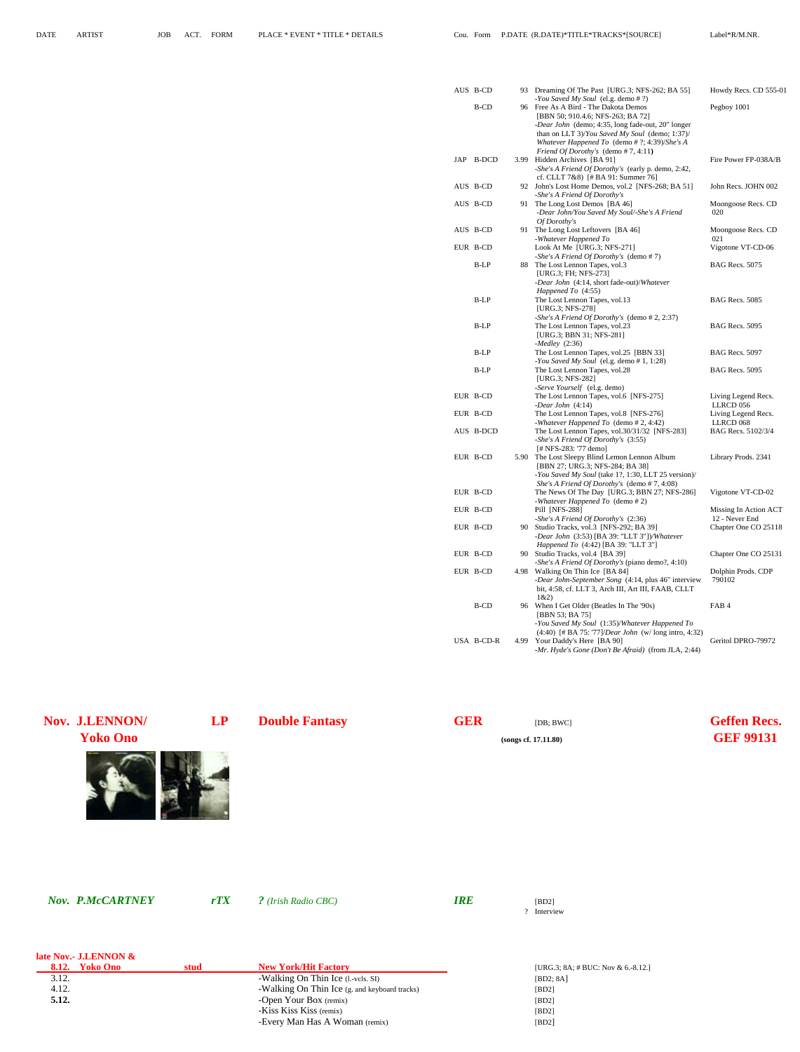|  | AUS B-CD   | 93 Dreaming Of The Past [URG.3; NFS-262; BA 55]<br>- <i>You Saved My Soul</i> (el.g. demo # ?)      | Howdy Recs. CD 555-01                  |
|--|------------|-----------------------------------------------------------------------------------------------------|----------------------------------------|
|  | B-CD       | 96 Free As A Bird - The Dakota Demos                                                                | Pegboy 1001                            |
|  |            | [BBN 50; 910.4.6; NFS-263; BA 72]                                                                   |                                        |
|  |            | -Dear John (demo; 4:35, long fade-out, 20" longer<br>than on LLT 3)/You Saved My Soul (demo; 1:37)/ |                                        |
|  |            | Whatever Happened To (demo # $?$ ; 4:39)/She's A                                                    |                                        |
|  |            | Friend Of Dorothy's (demo # 7, 4:11)                                                                |                                        |
|  | JAP B-DCD  | 3.99 Hidden Archives [BA 91]                                                                        | Fire Power FP-038A/B                   |
|  |            | -She's A Friend Of Dorothy's (early p. demo, 2:42,                                                  |                                        |
|  | AUS B-CD   | cf. CLLT $7&88$ ) [# BA 91: Summer $76$ ]<br>92 John's Lost Home Demos, vol.2 [NFS-268; BA 51]      | John Recs. JOHN 002                    |
|  |            | -She's A Friend Of Dorothy's                                                                        |                                        |
|  | AUS B-CD   | 91 The Long Lost Demos [BA 46]                                                                      | Moongoose Recs. CD                     |
|  |            | -Dear John/You Saved My Soul/-She's A Friend                                                        | 020                                    |
|  | AUS B-CD   | Of Dorothy's<br>91 The Long Lost Leftovers [BA 46]                                                  | Moongoose Recs. CD                     |
|  |            | -Whatever Happened To                                                                               | 021                                    |
|  | EUR B-CD   | Look At Me [URG.3; NFS-271]                                                                         | Vigotone VT-CD-06                      |
|  |            | -She's A Friend Of Dorothy's (demo #7)                                                              |                                        |
|  | $B-LP$     | 88 The Lost Lennon Tapes, vol.3<br>[URG.3; FH; NFS-273]                                             | <b>BAG Recs. 5075</b>                  |
|  |            | -Dear John (4:14, short fade-out)/Whatever                                                          |                                        |
|  |            | Happened To (4:55)                                                                                  |                                        |
|  | B-LP       | The Lost Lennon Tapes, vol.13                                                                       | <b>BAG Recs. 5085</b>                  |
|  |            | [URG.3; NFS-278]                                                                                    |                                        |
|  | $B-LP$     | -She's A Friend Of Dorothy's (demo $#2, 2:37$ )<br>The Lost Lennon Tapes, vol.23                    | BAG Recs. 5095                         |
|  |            | [URG.3; BBN 31; NFS-281]                                                                            |                                        |
|  |            | $-Medley (2:36)$                                                                                    |                                        |
|  | B-LP       | The Lost Lennon Tapes, vol.25 [BBN 33]<br>-You Saved My Soul (el.g. demo #1, 1:28)                  | BAG Recs. 5097                         |
|  | B-LP       | The Lost Lennon Tapes, vol.28<br>[URG.3; NFS-282]                                                   | BAG Recs. 5095                         |
|  |            | -Serve Yourself (el.g. demo)                                                                        |                                        |
|  | EUR B-CD   | The Lost Lennon Tapes, vol.6 [NFS-275]                                                              | Living Legend Recs.                    |
|  | EUR B-CD   | -Dear John $(4:14)$<br>The Lost Lennon Tapes, vol.8 [NFS-276]                                       | LLRCD 056<br>Living Legend Recs.       |
|  |            | -Whatever Happened To (demo # 2, 4:42)                                                              | LLRCD 068                              |
|  | AUS B-DCD  | The Lost Lennon Tapes, vol.30/31/32 [NFS-283]                                                       | BAG Recs. 5102/3/4                     |
|  |            | -She's A Friend Of Dorothy's (3:55)                                                                 |                                        |
|  | EUR B-CD   | [# NFS-283: '77 demo]<br>5.90 The Lost Sleepy Blind Lemon Lennon Album                              | Library Prods. 2341                    |
|  |            | [BBN 27; URG.3; NFS-284; BA 38]                                                                     |                                        |
|  |            | -You Saved My Soul (take 1?, 1:30, LLT 25 version)/<br>She's A Friend Of Dorothy's (demo #7, 4:08)  |                                        |
|  | EUR B-CD   | The News Of The Day [URG.3; BBN 27; NFS-286]                                                        | Vigotone VT-CD-02                      |
|  |            | -Whatever Happened To $(demo # 2)$                                                                  |                                        |
|  | EUR B-CD   | Pill [NFS-288]                                                                                      | Missing In Action ACT                  |
|  | EUR B-CD   | -She's A Friend Of Dorothy's (2:36)<br>90 Studio Tracks, vol.3 [NFS-292; BA 39]                     | 12 - Never End<br>Chapter One CO 25118 |
|  |            | -Dear John (3:53) [BA 39: "LLT 3"])/Whatever                                                        |                                        |
|  |            | Happened To (4:42) [BA 39: "LLT 3"]                                                                 |                                        |
|  | EUR B-CD   | 90 Studio Tracks, vol.4 [BA 39]                                                                     | Chapter One CO 25131                   |
|  | EUR B-CD   | -She's A Friend Of Dorothy's (piano demo?, 4:10)<br>4.98 Walking On Thin Ice [BA 84]                | Dolphin Prods. CDP                     |
|  |            | -Dear John-September Song (4:14, plus 46" interview                                                 | 790102                                 |
|  |            | bit, 4:58, cf. LLT 3, Arch III, Art III, FAAB, CLLT                                                 |                                        |
|  |            | 1&22                                                                                                |                                        |
|  | B-CD       | 96 When I Get Older (Beatles In The '90s)                                                           | FAB <sub>4</sub>                       |
|  |            | [BBN 53; BA 75]<br>-You Saved My Soul (1:35)/Whatever Happened To                                   |                                        |
|  |            | $(4:40)$ [# BA 75: '77]/Dear John (w/long intro, 4:32)                                              |                                        |
|  | USA B-CD-R | 4.99 Your Daddy's Here [BA 90]                                                                      | Geritol DPRO-79972                     |
|  |            | -Mr. Hyde's Gone (Don't Be Afraid) (from JLA, 2:44)                                                 |                                        |

|       | Nov. J.LENNON/<br><b>Yoko Ono</b>       | LP   | <b>Double Fantasy</b>                         | <b>GER</b> | [DB; BWC]<br>(songs cf. 17.11.80)  | <b>Geffen Recs.</b><br><b>GEF 99131</b> |
|-------|-----------------------------------------|------|-----------------------------------------------|------------|------------------------------------|-----------------------------------------|
|       |                                         |      |                                               |            |                                    |                                         |
|       | <b>Nov. P.McCARTNEY</b>                 | rTX  | ? (Irish Radio CBC)                           | <b>IRE</b> | [BD2]<br>? Interview               |                                         |
|       | late Nov.- J.LENNON &<br>8.12. Yoko Ono | stud | <b>New York/Hit Factory</b>                   |            | [URG.3; 8A; # BUC: Nov & 6.-8.12.] |                                         |
| 3.12. |                                         |      | -Walking On Thin Ice (l.-vcls. SI)            |            | [ $BD2; 8A$ ]                      |                                         |
| 4.12. |                                         |      | -Walking On Thin Ice (g. and keyboard tracks) |            | [BD2]                              |                                         |
| 5.12. |                                         |      | -Open Your Box (remix)                        |            | [BD2]                              |                                         |
|       |                                         |      | -Kiss Kiss Kiss (remix)                       |            | [BD2]                              |                                         |

-Every Man Has A Woman (remix) [BD2]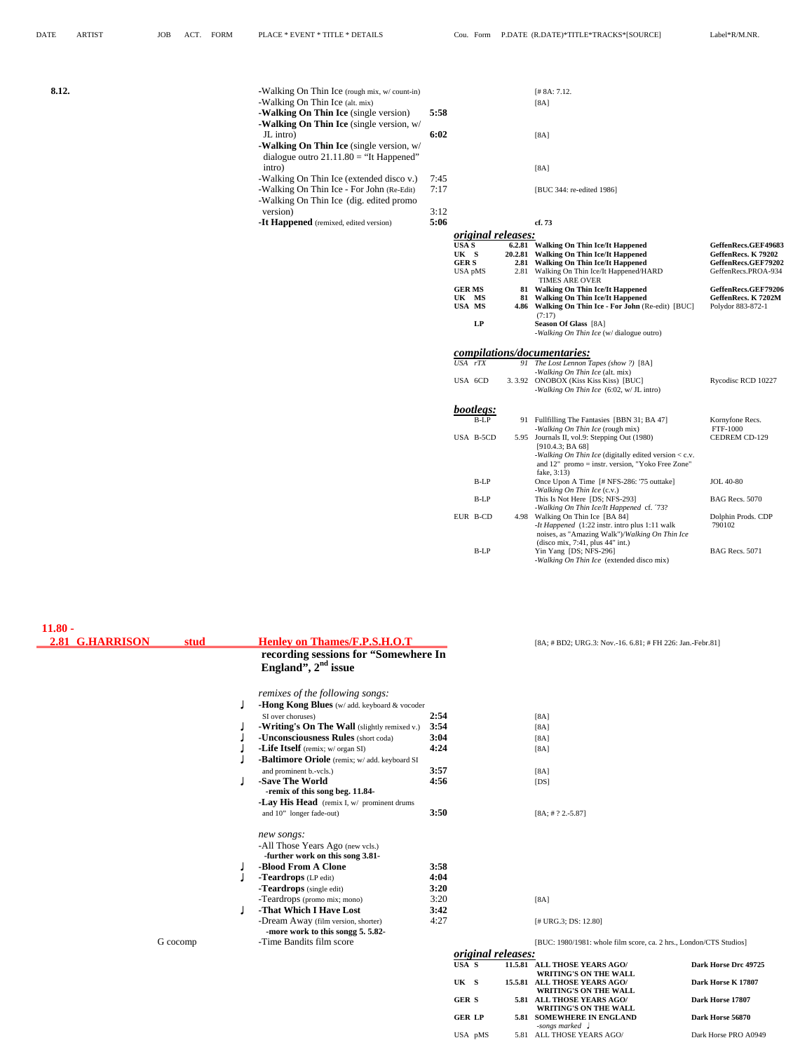| 8.12. | -Walking On Thin Ice (rough mix, $w$ count-in)<br>-Walking On Thin Ice (alt. mix)<br>-Walking On Thin Ice (single version) | 5:58 | [# 8A: 7.12]<br>[8A]      |
|-------|----------------------------------------------------------------------------------------------------------------------------|------|---------------------------|
|       | -Walking On Thin Ice (single version, w/                                                                                   |      |                           |
|       | $JL$ intro)                                                                                                                | 6:02 | [8A]                      |
|       | -Walking On Thin Ice (single version, $w/$                                                                                 |      |                           |
|       | dialogue outro $21.11.80 =$ "It Happened"                                                                                  |      |                           |
|       | intro)                                                                                                                     |      | [8A]                      |
|       | -Walking On Thin Ice (extended disco v.)                                                                                   | 7:45 |                           |
|       | -Walking On Thin Ice - For John (Re-Edit)                                                                                  | 7:17 | [BUC 344: re-edited 1986] |
|       | -Walking On Thin Ice (dig. edited promo                                                                                    |      |                           |
|       | version)                                                                                                                   | 3:12 |                           |
|       | <b>-It Happened</b> (remixed, edited version)                                                                              | 5:06 | cf.73                     |

| <b>- Walking On Thin Ice</b> (single version, W/ |      |                           |                                                                                   |                                            |
|--------------------------------------------------|------|---------------------------|-----------------------------------------------------------------------------------|--------------------------------------------|
| JL intro)                                        | 6:02 |                           | [8A]                                                                              |                                            |
| -Walking On Thin Ice (single version, w/         |      |                           |                                                                                   |                                            |
| dialogue outro $21.11.80 =$ "It Happened"        |      |                           |                                                                                   |                                            |
| intro)                                           |      |                           | [8A]                                                                              |                                            |
| -Walking On Thin Ice (extended disco v.)         | 7:45 |                           |                                                                                   |                                            |
| -Walking On Thin Ice - For John (Re-Edit)        | 7:17 |                           | [BUC 344: re-edited 1986]                                                         |                                            |
| -Walking On Thin Ice (dig. edited promo          |      |                           |                                                                                   |                                            |
| version)                                         | 3:12 |                           |                                                                                   |                                            |
|                                                  |      |                           |                                                                                   |                                            |
| -It Happened (remixed, edited version)           | 5:06 |                           | cf. 73                                                                            |                                            |
|                                                  |      | <i>original releases:</i> |                                                                                   |                                            |
|                                                  |      | <b>USA S</b>              | 6.2.81 Walking On Thin Ice/It Happened                                            | GeffenRecs.GEF49683                        |
|                                                  |      | UK S<br><b>GERS</b>       | 20.2.81 Walking On Thin Ice/It Happened                                           | GeffenRecs. K 79202<br>GeffenRecs.GEF79202 |
|                                                  |      | USA pMS                   | 2.81 Walking On Thin Ice/It Happened<br>2.81 Walking On Thin Ice/It Happened/HARD | GeffenRecs.PROA-934                        |
|                                                  |      |                           | <b>TIMES ARE OVER</b>                                                             |                                            |
|                                                  |      | <b>GERMS</b>              | 81 Walking On Thin Ice/It Happened                                                | GeffenRecs.GEF79206                        |
|                                                  |      | UK MS                     | 81 Walking On Thin Ice/It Happened                                                | GeffenRecs. K 7202M                        |
|                                                  |      | <b>USA MS</b>             | 4.86 Walking On Thin Ice - For John (Re-edit) [BUC]                               | Polydor 883-872-1                          |
|                                                  |      | $\mathbf{L}\mathbf{P}$    | (7:17)<br><b>Season Of Glass</b> [8A]                                             |                                            |
|                                                  |      |                           | -Walking On Thin Ice (w/dialogue outro)                                           |                                            |
|                                                  |      |                           | compilations/documentaries:                                                       |                                            |
|                                                  |      | USA rTX                   | 91 The Lost Lennon Tapes (show ?) [8A]                                            |                                            |
|                                                  |      |                           | -Walking On Thin Ice (alt. mix)                                                   |                                            |
|                                                  |      | USA 6CD                   | 3.3.92 ONOBOX (Kiss Kiss Kiss) [BUC]                                              | Rycodisc RCD 10227                         |
|                                                  |      |                           | -Walking On Thin Ice (6:02, w/ JL intro)                                          |                                            |
|                                                  |      | bootlegs:                 |                                                                                   |                                            |
|                                                  |      | $B-LP$                    | 91 Fullfilling The Fantasies [BBN 31; BA 47]                                      | Kornyfone Recs.                            |
|                                                  |      |                           | -Walking On Thin Ice (rough mix)                                                  | FTF-1000                                   |
|                                                  |      | USA B-5CD                 | 5.95 Journals II, vol.9: Stepping Out (1980)<br>[910.4.3; BA 68]                  | CEDREM CD-129                              |
|                                                  |      |                           | -Walking On Thin Ice (digitally edited version < c.v.                             |                                            |
|                                                  |      |                           | and $12"$ promo = instr. version, "Yoko Free Zone"                                |                                            |
|                                                  |      |                           | fake, $3:13$ )                                                                    |                                            |
|                                                  |      | $\operatorname{B-LP}$     | Once Upon A Time [# NFS-286: '75 outtake]                                         | <b>JOL 40-80</b>                           |
|                                                  |      | B-LP                      | -Walking On Thin Ice (c.v.)                                                       |                                            |
|                                                  |      |                           | This Is Not Here [DS; NFS-293]<br>-Walking On Thin Ice/It Happened cf. '73?       | BAG Recs. 5070                             |
|                                                  |      | EUR B-CD                  | 4.98 Walking On Thin Ice [BA 84]                                                  | Dolphin Prods. CDP                         |
|                                                  |      |                           | -It Happened (1:22 instr. intro plus 1:11 walk                                    | 790102                                     |
|                                                  |      |                           | noises, as "Amazing Walk")/Walking On Thin Ice                                    |                                            |
|                                                  |      |                           | (disco mix, 7:41, plus 44" int.)                                                  |                                            |

|        | $1.70$ $1.000$ $1.000$ $1.000$ $1.000$ $1.000$ $1.000$ | 20.1           |
|--------|--------------------------------------------------------|----------------|
|        | <i>-It Happened</i> (1:22 instr. intro plus 1:11 walk  | 790102         |
|        | noises, as "Amazing Walk")/ <i>Walking On Thin Ice</i> |                |
|        | (disco mix, 7:41, plus $44"$ int.)                     |                |
| $B-LP$ | Yin Yang [DS; NFS-296]                                 | BAG Recs. 5071 |
|        | - <i>Walking On Thin Ice</i> (extended disco mix)      |                |
|        |                                                        |                |

| $11.80 -$               |                                                                                                                                                                                                                                                                                                     |                                              |              |                           |                                                                    |                      |
|-------------------------|-----------------------------------------------------------------------------------------------------------------------------------------------------------------------------------------------------------------------------------------------------------------------------------------------------|----------------------------------------------|--------------|---------------------------|--------------------------------------------------------------------|----------------------|
| 2.81 G.HARRISON<br>stud | <b>Henley on Thames/F.P.S.H.O.T</b>                                                                                                                                                                                                                                                                 |                                              |              |                           | [8A; # BD2; URG.3: Nov.-16. 6.81; # FH 226: Jan.-Febr.81]          |                      |
|                         | recording sessions for "Somewhere In<br>England", $2nd$ issue                                                                                                                                                                                                                                       |                                              |              |                           |                                                                    |                      |
|                         | remixes of the following songs:<br>-Hong Kong Blues (w/ add. keyboard & vocoder                                                                                                                                                                                                                     |                                              |              |                           |                                                                    |                      |
|                         | SI over choruses)                                                                                                                                                                                                                                                                                   | 2:54                                         |              |                           | [8A]                                                               |                      |
|                         | -Writing's On The Wall (slightly remixed v.)                                                                                                                                                                                                                                                        | 3:54                                         |              |                           | [8A]                                                               |                      |
|                         | -Unconsciousness Rules (short coda)                                                                                                                                                                                                                                                                 | 3:04                                         |              |                           | [8A]                                                               |                      |
|                         | -Life Itself (remix; w/ organ SI)                                                                                                                                                                                                                                                                   | 4:24                                         |              |                           | [8A]                                                               |                      |
|                         | -Baltimore Oriole (remix; w/ add. keyboard SI                                                                                                                                                                                                                                                       |                                              |              |                           |                                                                    |                      |
|                         | and prominent b.-vcls.)                                                                                                                                                                                                                                                                             | 3:57                                         |              |                           | [8A]                                                               |                      |
|                         | -Save The World                                                                                                                                                                                                                                                                                     | 4:56                                         |              |                           | [DS]                                                               |                      |
|                         | -remix of this song beg. 11.84-                                                                                                                                                                                                                                                                     |                                              |              |                           |                                                                    |                      |
|                         | -Lay His Head (remix I, w/ prominent drums                                                                                                                                                                                                                                                          |                                              |              |                           |                                                                    |                      |
|                         | and 10" longer fade-out)                                                                                                                                                                                                                                                                            | 3:50                                         |              |                           | $[8A; # ? 2.-5.87]$                                                |                      |
|                         | new songs:<br>-All Those Years Ago (new vcls.)<br>-further work on this song 3.81-<br>-Blood From A Clone<br>-Teardrops (LP edit)<br>-Teardrops (single edit)<br>-Teardrops (promo mix; mono)<br>-That Which I Have Lost<br>-Dream Away (film version, shorter)<br>-more work to this songg 5.5.82- | 3:58<br>4:04<br>3:20<br>3:20<br>3:42<br>4:27 |              |                           | [8A]<br>$[$ # URG.3; DS: 12.80]                                    |                      |
| G cocomp                | -Time Bandits film score                                                                                                                                                                                                                                                                            |                                              |              |                           | [BUC: 1980/1981: whole film score, ca. 2 hrs., London/CTS Studios] |                      |
|                         |                                                                                                                                                                                                                                                                                                     |                                              |              | <i>original releases:</i> |                                                                    |                      |
|                         |                                                                                                                                                                                                                                                                                                     |                                              | USA S        |                           | 11.5.81 ALL THOSE YEARS AGO/                                       | Dark Horse Drc 49725 |
|                         |                                                                                                                                                                                                                                                                                                     |                                              | UK S         |                           | <b>WRITING'S ON THE WALL</b>                                       | Dark Horse K 17807   |
|                         |                                                                                                                                                                                                                                                                                                     |                                              |              |                           | 15.5.81 ALL THOSE YEARS AGO/<br><b>WRITING'S ON THE WALL</b>       |                      |
|                         |                                                                                                                                                                                                                                                                                                     |                                              | <b>GER S</b> |                           | 5.81 ALL THOSE YEARS AGO/<br><b>WRITING'S ON THE WALL</b>          | Dark Horse 17807     |

**EXAMPLE 12 STATE IN ENGLAND DARK Horse 56870 Dark Horse 56870 EXECUTE 19 FOR SAMPLE 19 FOR SAMPLE 19 FOR SAMPLE 19 FOR SAMPLE 19 FOR SAMPLE 19 FOR SAMPLE 19 FOR SAMPLE 19 FOR SAMPLE 19 FOR SAMPLE 19 FOR SAMPLE 19 FOR SAMPLE 19 FOR SAMPLE 19 FOR SAMPLE 19 FOR SAMPLE 19 FOR SAMPLE 19**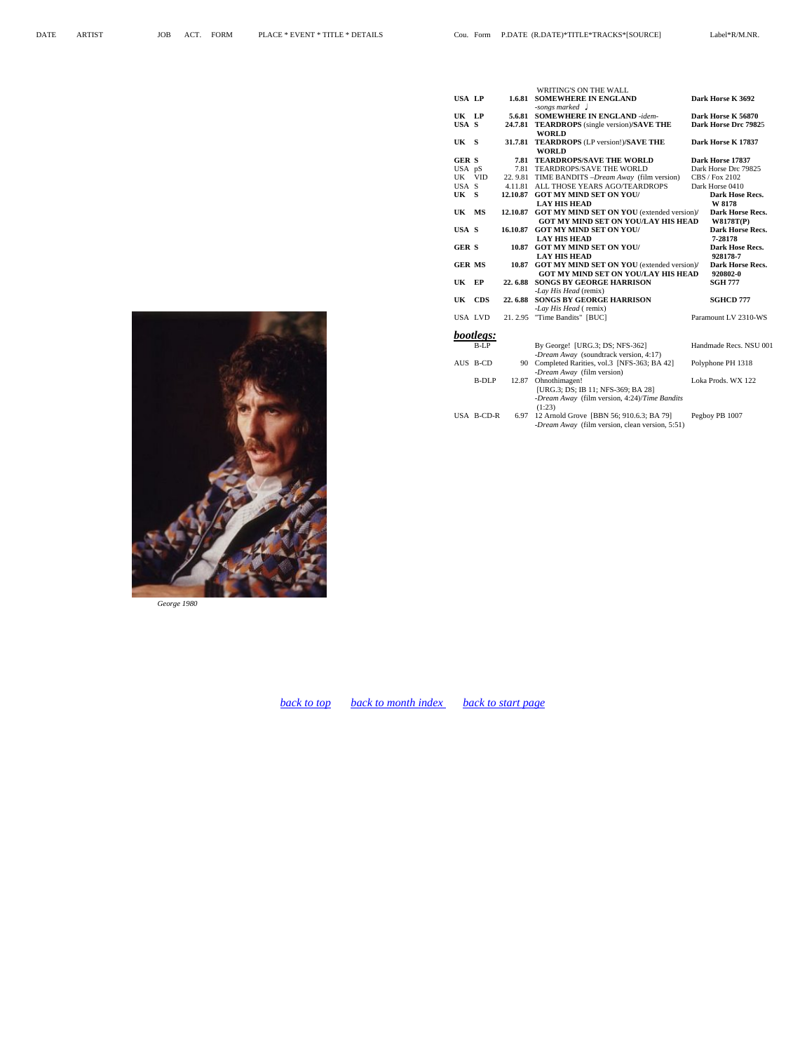|  | UK CDS                  | 22.6.88 SONGS BY GEORGE HARRISON<br>-Lay His Head (remix)                                                    |
|--|-------------------------|--------------------------------------------------------------------------------------------------------------|
|  | USA LVD                 | 21.2.95 "Time Bandits" [BUC]                                                                                 |
|  | bootlegs:               |                                                                                                              |
|  | $B-LP$                  | By George! [URG.3; DS; NFS-362]<br>-Dream Away (soundtrack version, 4:1)                                     |
|  | $\,\mathrm{AUS}\,$ B-CD | 90 Completed Rarities, vol.3 [NFS-363; B<br>-Dream Away (film version)                                       |
|  | $\operatorname{B-DLP}$  | 12.87 Ohnothimagen!<br>[URG.3; DS; IB 11; NFS-369; BA 28]<br>-Dream Away (film version, 4:24)/Time<br>(1:23) |
|  | USA B-CD-R              | 6.97 12 Arnold Grove [BBN 56; 910.6.3; B.<br>-Dream Away (film version, clean versi                          |
|  |                         |                                                                                                              |

|               |                                  | WRITING'S ON THE WALL                                                     |                         |
|---------------|----------------------------------|---------------------------------------------------------------------------|-------------------------|
| <b>USA LP</b> |                                  | <b>1.6.81 SOMEWHERE IN ENGLAND</b>                                        | Dark Horse K 3692       |
|               |                                  | -songs marked $\Box$                                                      |                         |
| UK LP         |                                  | 5.6.81 SOMEWHERE IN ENGLAND -idem-                                        | Dark Horse K 56870      |
| USA S         |                                  | 24.7.81 TEARDROPS (single version)/SAVE THE<br><b>WORLD</b>               | Dark Horse Drc 79825    |
| UK S          |                                  | 31.7.81 TEARDROPS (LP version!)/SAVE THE<br><b>WORLD</b>                  | Dark Horse K 17837      |
| <b>GER S</b>  |                                  | 7.81 TEARDROPS/SAVE THE WORLD                                             | Dark Horse 17837        |
| USA pS        |                                  | 7.81 TEARDROPS/SAVE THE WORLD                                             | Dark Horse Drc 79825    |
| UK VID        |                                  | 22.9.81 TIME BANDITS - Dream Away (film version)                          | CBS / Fox 2102          |
| USA S         |                                  | 4.11.81 ALL THOSE YEARS AGO/TEARDROPS                                     | Dark Horse 0410         |
| UK S          |                                  | 12.10.87 GOT MY MIND SET ON YOU/                                          | <b>Dark Hose Recs.</b>  |
|               |                                  | <b>LAY HIS HEAD</b>                                                       | W 8178                  |
| UK MS         |                                  | 12.10.87 GOT MY MIND SET ON YOU (extended version)/                       | <b>Dark Horse Recs.</b> |
|               |                                  | <b>GOT MY MIND SET ON YOU/LAY HIS HEAD</b>                                | <b>W8178T(P)</b>        |
| USA S         |                                  | 16.10.87 GOT MY MIND SET ON YOU/                                          | Dark Horse Recs.        |
|               |                                  | <b>LAY HIS HEAD</b>                                                       | 7-28178                 |
| <b>GER S</b>  |                                  | 10.87 GOT MY MIND SET ON YOU/                                             | <b>Dark Hose Recs.</b>  |
|               |                                  | <b>LAY HIS HEAD</b>                                                       | 928178-7                |
| <b>GER MS</b> |                                  | 10.87 GOT MY MIND SET ON YOU (extended version)/                          | <b>Dark Horse Recs.</b> |
|               |                                  | <b>GOT MY MIND SET ON YOU/LAY HIS HEAD</b>                                | 920802-0                |
| UK EP         |                                  | 22.6.88 SONGS BY GEORGE HARRISON                                          | <b>SGH 777</b>          |
|               |                                  | -Lay His Head (remix)                                                     |                         |
| UK            | $\mathbf{C}\mathbf{D}\mathbf{S}$ | 22.6.88 SONGS BY GEORGE HARRISON                                          | <b>SGHCD 777</b>        |
|               |                                  | -Lay His Head (remix)                                                     |                         |
|               | USA LVD                          | 21.2.95 "Time Bandits" [BUC]                                              | Paramount LV 2310-WS    |
|               | bootlegs:                        |                                                                           |                         |
|               | $B-LP$                           | By George! [URG.3; DS; NFS-362]<br>-Dream Away (soundtrack version, 4:17) | Handmade Recs. NSU 001  |
|               | AUS B-CD                         | 90 Completed Rarities, vol.3 [NFS-363; BA 42]                             | Polyphone PH 1318       |
|               |                                  | -Dream Away (film version)                                                |                         |
|               | <b>B-DLP</b>                     | 12.87 Ohnothimagen!                                                       | Loka Prods. WX 122      |
|               |                                  | [URG.3; DS; IB 11; NFS-369; BA 28]                                        |                         |
|               |                                  | -Dream Away (film version, 4:24)/Time Bandits                             |                         |
|               |                                  | (1:23)                                                                    |                         |
|               | USA B-CD-R                       | 6.97 12 Arnold Grove [BBN 56; 910.6.3; BA 79]                             | Pegboy PB 1007          |
|               |                                  | <i>-Dream Away</i> (film version, clean version, 5:51)                    |                         |
|               |                                  |                                                                           |                         |

*George 1980* 

*[back to top](#page-0-0) back to month index back to start page*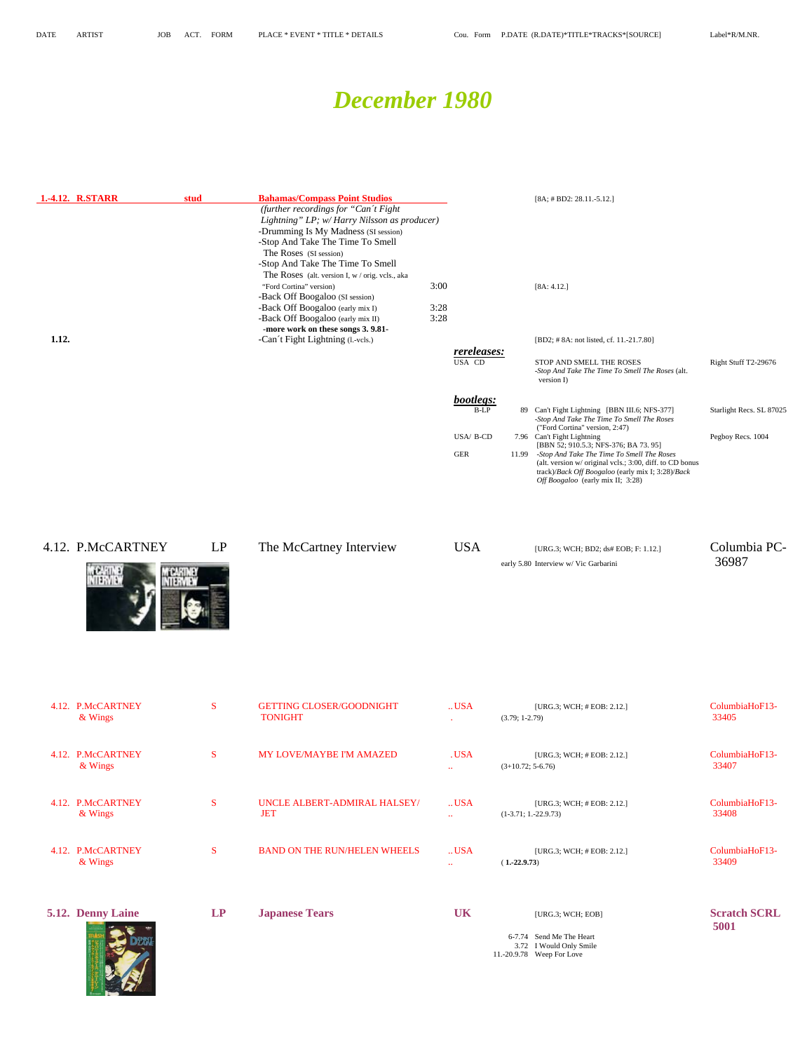## *December 1980*

| 1.12. | 1.-4.12. R.STARR             | stud         | <b>Bahamas/Compass Point Studios</b><br>(further recordings for "Can't Fight<br>Lightning" LP; w/ Harry Nilsson as producer)<br>-Drumming Is My Madness (SI session)<br>-Stop And Take The Time To Smell<br>The Roses (SI session)<br>-Stop And Take The Time To Smell<br>The Roses (alt. version I, w / orig. vcls., aka<br>"Ford Cortina" version)<br>-Back Off Boogaloo (SI session)<br>-Back Off Boogaloo (early mix I)<br>-Back Off Boogaloo (early mix II)<br>-more work on these songs 3.9.81-<br>-Can't Fight Lightning (l.-vcls.) | 3:00<br>3:28<br>3:28 | rereleases:<br>USA CD<br>bootlegs:<br>$B-LP$<br>USA/ B-CD<br><b>GER</b> |                        | $[8A; # BD2: 28.11.-5.12.]$<br>[8A: 4.12.]<br>[BD2; # 8A: not listed, cf. 11.-21.7.80]<br>STOP AND SMELL THE ROSES<br>-Stop And Take The Time To Smell The Roses (alt.<br>version I)<br>89 Can't Fight Lightning [BBN III.6; NFS-377]<br>-Stop And Take The Time To Smell The Roses<br>("Ford Cortina" version, 2:47)<br>7.96 Can't Fight Lightning<br>[BBN 52; 910.5.3; NFS-376; BA 73. 95]<br>11.99 -Stop And Take The Time To Smell The Roses<br>(alt. version w/ original vcls.; 3:00, diff. to CD bonus<br>track)/Back Off Boogaloo (early mix I; 3:28)/Back<br>Off Boogaloo (early mix II; 3:28) | Right Stuff T2-29676<br>Starlight Recs. SL 87025<br>Pegboy Recs. 1004 |
|-------|------------------------------|--------------|--------------------------------------------------------------------------------------------------------------------------------------------------------------------------------------------------------------------------------------------------------------------------------------------------------------------------------------------------------------------------------------------------------------------------------------------------------------------------------------------------------------------------------------------|----------------------|-------------------------------------------------------------------------|------------------------|--------------------------------------------------------------------------------------------------------------------------------------------------------------------------------------------------------------------------------------------------------------------------------------------------------------------------------------------------------------------------------------------------------------------------------------------------------------------------------------------------------------------------------------------------------------------------------------------------------|-----------------------------------------------------------------------|
|       | 4.12. P.McCARTNEY            | LP           | The McCartney Interview                                                                                                                                                                                                                                                                                                                                                                                                                                                                                                                    |                      | <b>USA</b>                                                              |                        | [URG.3; WCH; BD2; ds# EOB; F: 1.12.]<br>early 5.80 Interview w/ Vic Garbarini                                                                                                                                                                                                                                                                                                                                                                                                                                                                                                                          | Columbia PC-<br>36987                                                 |
|       | 4.12. P.McCARTNEY<br>& Wings | <sub>S</sub> | <b>GETTING CLOSER/GOODNIGHT</b><br><b>TONIGHT</b>                                                                                                                                                                                                                                                                                                                                                                                                                                                                                          |                      | . <i>USA</i><br>$\mathcal{L}^{\pm}$                                     | $(3.79; 1-2.79)$       | [URG.3; WCH; # EOB: 2.12.]                                                                                                                                                                                                                                                                                                                                                                                                                                                                                                                                                                             | ColumbiaHoF13-<br>33405                                               |
|       | 4.12. P.McCARTNEY<br>& Wings | <sub>S</sub> | <b>MY LOVE/MAYBE I'M AMAZED</b>                                                                                                                                                                                                                                                                                                                                                                                                                                                                                                            |                      | .USA                                                                    | $(3+10.72; 5-6.76)$    | [URG.3; WCH; # EOB: 2.12.]                                                                                                                                                                                                                                                                                                                                                                                                                                                                                                                                                                             | ColumbiaHoF13-<br>33407                                               |
|       | 4.12. P.McCARTNEY<br>& Wings | <sub>S</sub> | UNCLE ALBERT-ADMIRAL HALSEY/<br><b>JET</b>                                                                                                                                                                                                                                                                                                                                                                                                                                                                                                 | $\mathbb{Z}^2$       | . <i>USA</i>                                                            | $(1-3.71; 1.-22.9.73)$ | [URG.3; WCH; # EOB: 2.12.]                                                                                                                                                                                                                                                                                                                                                                                                                                                                                                                                                                             | ColumbiaHoF13-<br>33408                                               |
|       | 4.12. P.McCARTNEY<br>& Wings | <sub>S</sub> | <b>BAND ON THE RUN/HELEN WHEELS</b>                                                                                                                                                                                                                                                                                                                                                                                                                                                                                                        | $\mathbf{L}$ .       | . <i>USA</i>                                                            | $(1.-22.9.73)$         | [URG.3; WCH; # EOB: 2.12.]                                                                                                                                                                                                                                                                                                                                                                                                                                                                                                                                                                             | ColumbiaHoF13-<br>33409                                               |
|       | 5.12. Denny Laine            | LP           | <b>Japanese Tears</b>                                                                                                                                                                                                                                                                                                                                                                                                                                                                                                                      |                      | <b>UK</b>                                                               |                        | [URG.3; WCH; EOB]<br>6-7.74 Send Me The Heart<br>3.72 I Would Only Smile<br>11.-20.9.78 Weep For Love                                                                                                                                                                                                                                                                                                                                                                                                                                                                                                  | <b>Scratch SCRL</b><br>5001                                           |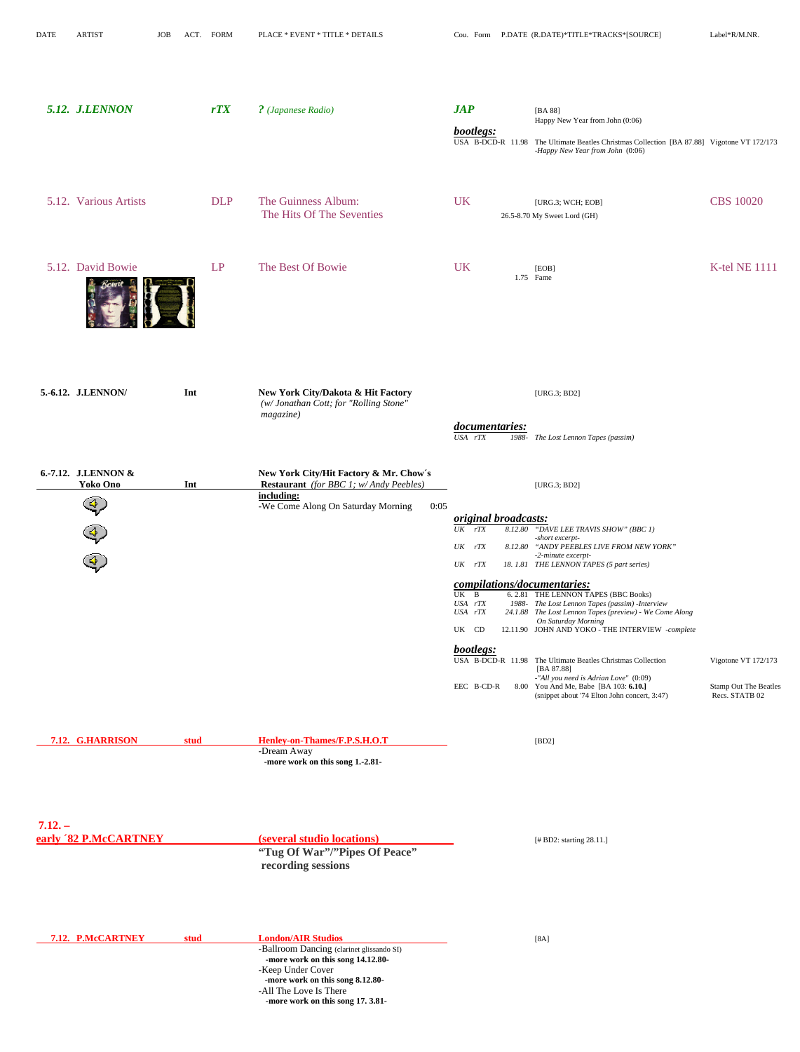|          | <b>5.12. J.LENNON</b>                                            | rTX        | ? (Japanese Radio)                                                                                                                                                                             | JAP<br>bootlegs:                                                                                                                                                           | [BA 88]<br>Happy New Year from John (0:06)<br>USA B-DCD-R 11.98 The Ultimate Beatles Christmas Collection [BA 87.88] Vigotone VT 172/173<br>-Happy New Year from John (0:06)                                                                                                                                                                                                                                                                                                                                                                                                                                                               |                                                                |
|----------|------------------------------------------------------------------|------------|------------------------------------------------------------------------------------------------------------------------------------------------------------------------------------------------|----------------------------------------------------------------------------------------------------------------------------------------------------------------------------|--------------------------------------------------------------------------------------------------------------------------------------------------------------------------------------------------------------------------------------------------------------------------------------------------------------------------------------------------------------------------------------------------------------------------------------------------------------------------------------------------------------------------------------------------------------------------------------------------------------------------------------------|----------------------------------------------------------------|
|          | 5.12. Various Artists                                            | <b>DLP</b> | The Guinness Album:<br>The Hits Of The Seventies                                                                                                                                               | <b>UK</b>                                                                                                                                                                  | [URG.3; WCH; EOB]<br>26.5-8.70 My Sweet Lord (GH)                                                                                                                                                                                                                                                                                                                                                                                                                                                                                                                                                                                          | <b>CBS</b> 10020                                               |
|          | 5.12. David Bowie                                                | LP         | The Best Of Bowie                                                                                                                                                                              | <b>UK</b>                                                                                                                                                                  | [EOB]<br>1.75 Fame                                                                                                                                                                                                                                                                                                                                                                                                                                                                                                                                                                                                                         | <b>K-tel NE 1111</b>                                           |
|          | 5.-6.12. J.LENNON/                                               | Int        | New York City/Dakota & Hit Factory<br>(w/ Jonathan Cott; for "Rolling Stone"<br>magazine)                                                                                                      | documentaries:<br>USA rTX<br>1988-                                                                                                                                         | [URG.3; BD2]<br>The Lost Lennon Tapes (passim)                                                                                                                                                                                                                                                                                                                                                                                                                                                                                                                                                                                             |                                                                |
|          | 6.-7.12. J.LENNON &<br><b>Yoko Ono</b><br>$\mathbf{\Theta}$<br>Ŧ | Int        | New York City/Hit Factory & Mr. Chow's<br><b>Restaurant</b> (for BBC 1; w/ Andy Peebles)<br>including:<br>-We Come Along On Saturday Morning<br>0:05                                           | <i>original broadcasts:</i><br>$UK$ $rTX$<br>$UK$ $rTX$<br>$UK$ $rTX$<br>compilations/documentaries:<br>$UK$ $B$<br>USA rTX<br>USA rTX<br>UK CD<br>bootlegs:<br>EEC B-CD-R | [URG.3; BD2]<br>8.12.80 "DAVE LEE TRAVIS SHOW" (BBC 1)<br>-short excerpt-<br>8.12.80 "ANDY PEEBLES LIVE FROM NEW YORK"<br>-2-minute excerpt-<br>18. 1.81 THE LENNON TAPES (5 part series)<br>6. 2.81 THE LENNON TAPES (BBC Books)<br>1988- The Lost Lennon Tapes (passim) - Interview<br>24.1.88 The Lost Lennon Tapes (preview) - We Come Along<br>On Saturday Morning<br>12.11.90 JOHN AND YOKO - THE INTERVIEW -complete<br>USA B-DCD-R 11.98 The Ultimate Beatles Christmas Collection<br>[BA 87.88]<br>-"All you need is Adrian Love" (0:09)<br>8.00 You And Me, Babe [BA 103: 6.10.]<br>(snippet about '74 Elton John concert, 3:47) | Vigotone VT 172/173<br>Stamp Out The Beatles<br>Recs. STATB 02 |
|          | 7.12. G.HARRISON                                                 | stud       | Henley-on-Thames/F.P.S.H.O.T<br>-Dream Away<br>-more work on this song 1.-2.81-                                                                                                                |                                                                                                                                                                            | [BD2]                                                                                                                                                                                                                                                                                                                                                                                                                                                                                                                                                                                                                                      |                                                                |
| $7.12 -$ | early '82 P.McCARTNEY                                            |            | <i>(several studio locations)</i><br>"Tug Of War"/"Pipes Of Peace"<br>recording sessions                                                                                                       |                                                                                                                                                                            | [# BD2: starting 28.11.]                                                                                                                                                                                                                                                                                                                                                                                                                                                                                                                                                                                                                   |                                                                |
|          | 7.12. P.McCARTNEY                                                | stud       | <b>London/AIR Studios</b><br>-Ballroom Dancing (clarinet glissando SI)<br>-more work on this song 14.12.80-<br>-Keep Under Cover<br>-more work on this song 8.12.80-<br>-All The Love Is There |                                                                                                                                                                            | [8A]                                                                                                                                                                                                                                                                                                                                                                                                                                                                                                                                                                                                                                       |                                                                |

**-more work on this song 17. 3.81-**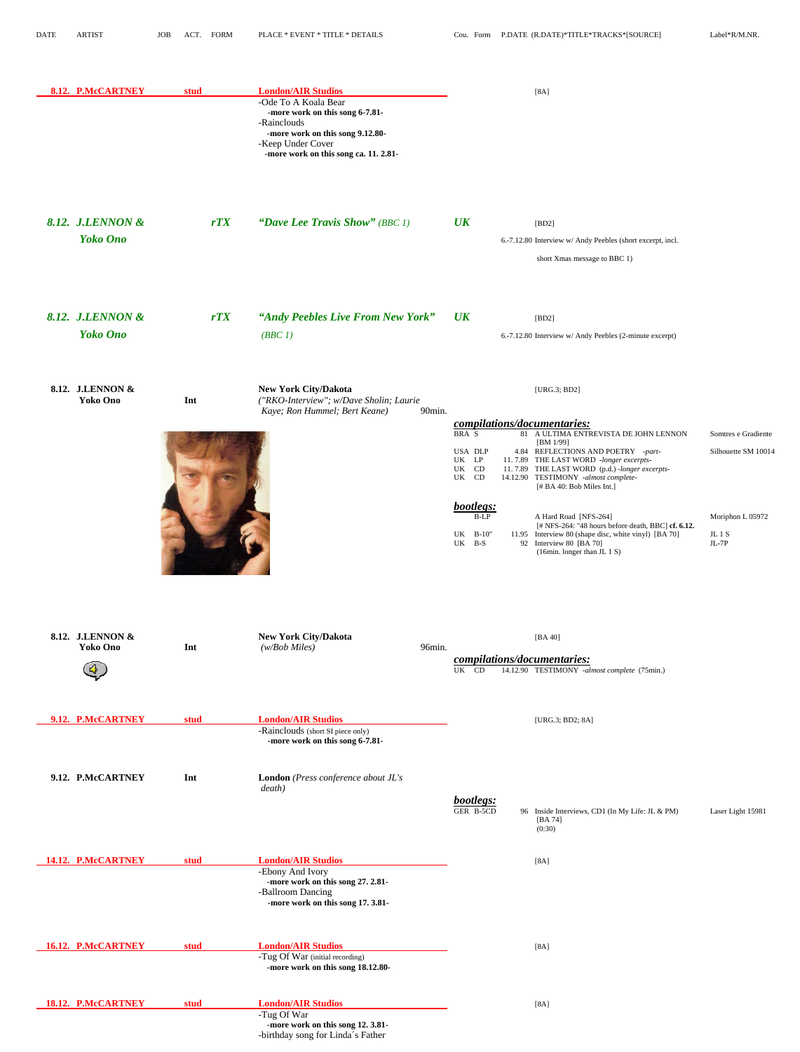| 8.12. P.McCARTNEY            | stud | <b>London/AIR Studios</b><br>-Ode To A Koala Bear                      |                                 | [8A]                                                                                                       |                     |
|------------------------------|------|------------------------------------------------------------------------|---------------------------------|------------------------------------------------------------------------------------------------------------|---------------------|
|                              |      | -more work on this song 6-7.81-                                        |                                 |                                                                                                            |                     |
|                              |      | -Rainclouds<br>-more work on this song 9.12.80-                        |                                 |                                                                                                            |                     |
|                              |      | -Keep Under Cover                                                      |                                 |                                                                                                            |                     |
|                              |      | -more work on this song ca. 11. 2.81-                                  |                                 |                                                                                                            |                     |
|                              |      |                                                                        |                                 |                                                                                                            |                     |
|                              |      |                                                                        |                                 |                                                                                                            |                     |
|                              |      |                                                                        |                                 |                                                                                                            |                     |
| 8.12. J.LENNON &             | rTX  | "Dave Lee Travis Show" (BBC 1)                                         | $U\mathbf{K}$                   | [BD2]                                                                                                      |                     |
| <b>Yoko Ono</b>              |      |                                                                        |                                 | 6.-7.12.80 Interview w/ Andy Peebles (short excerpt, incl.                                                 |                     |
|                              |      |                                                                        |                                 | short Xmas message to BBC 1)                                                                               |                     |
|                              |      |                                                                        |                                 |                                                                                                            |                     |
|                              |      |                                                                        |                                 |                                                                                                            |                     |
| 8.12. J.LENNON &             | rTX  |                                                                        | $\boldsymbol{U} \boldsymbol{K}$ |                                                                                                            |                     |
|                              |      | "Andy Peebles Live From New York"                                      |                                 | [BD2]                                                                                                      |                     |
| <b>Yoko Ono</b>              |      | (BBC1)                                                                 |                                 | 6.-7.12.80 Interview w/ Andy Peebles (2-minute excerpt)                                                    |                     |
|                              |      |                                                                        |                                 |                                                                                                            |                     |
|                              |      |                                                                        |                                 |                                                                                                            |                     |
| 8.12. J.LENNON &<br>Yoko Ono | Int  | <b>New York City/Dakota</b><br>("RKO-Interview"; w/Dave Sholin; Laurie |                                 | [URG.3; BD2]                                                                                               |                     |
|                              |      | Kaye; Ron Hummel; Bert Keane)<br>90min.                                |                                 |                                                                                                            |                     |
|                              |      |                                                                        | BRA S                           | compilations/documentaries:<br>81 A ULTIMA ENTREVISTA DE JOHN LENNON                                       | Somtres e Gradiente |
|                              |      |                                                                        | USA DLP                         | [BM 1/99]<br>4.84 REFLECTIONS AND POETRY -part-                                                            | Silhouette SM 10014 |
|                              |      |                                                                        | UK LP                           | 11.7.89 THE LAST WORD -longer excerpts-                                                                    |                     |
|                              |      |                                                                        | UK CD<br>CD<br>UK               | 11.7.89 THE LAST WORD (p.d.) -longer excerpts-<br>14.12.90 TESTIMONY -almost complete-                     |                     |
|                              |      |                                                                        |                                 | [# BA 40: Bob Miles Int.]                                                                                  |                     |
|                              |      |                                                                        | bootlegs:<br>B-LP               | A Hard Road [NFS-264]                                                                                      | Moriphon L 05972    |
|                              |      |                                                                        | $B-10"$<br>UK                   | [# NFS-264: "48 hours before death, BBC] cf. 6.12.<br>11.95 Interview 80 (shape disc, white vinyl) [BA 70] | $\rm JL$ 1 $\rm S$  |
|                              |      |                                                                        | UK B-S                          | 92 Interview 80 [BA 70]                                                                                    | $JL-7P$             |
|                              |      |                                                                        |                                 | (16min. longer than JL 1 S)                                                                                |                     |
|                              |      |                                                                        |                                 |                                                                                                            |                     |
|                              |      |                                                                        |                                 |                                                                                                            |                     |
|                              |      |                                                                        |                                 |                                                                                                            |                     |
|                              |      |                                                                        |                                 |                                                                                                            |                     |
| 8.12. J.LENNON &<br>Yoko Ono | Int  | <b>New York City/Dakota</b><br>$(w/Bob$ Miles)<br>96min.               |                                 | [BA $40$ ]                                                                                                 |                     |
|                              |      |                                                                        |                                 | compilations/documentaries:                                                                                |                     |
|                              |      |                                                                        | UK CD                           | 14.12.90 TESTIMONY -almost complete (75min.)                                                               |                     |
|                              |      |                                                                        |                                 |                                                                                                            |                     |
| 9.12. P.McCARTNEY            | stud | <b>London/AIR Studios</b>                                              |                                 | [URG.3; BD2; 8A]                                                                                           |                     |
|                              |      | -Rainclouds (short SI piece only)                                      |                                 |                                                                                                            |                     |
|                              |      | -more work on this song 6-7.81-                                        |                                 |                                                                                                            |                     |
|                              |      |                                                                        |                                 |                                                                                                            |                     |
| 9.12. P.McCARTNEY            | Int  | London (Press conference about JL's                                    |                                 |                                                                                                            |                     |
|                              |      | death)                                                                 | bootlegs:                       |                                                                                                            |                     |
|                              |      |                                                                        | GER B-5CD                       | 96 Inside Interviews, CD1 (In My Life: JL & PM)                                                            | Laser Light 15981   |
|                              |      |                                                                        |                                 | [BA 74]<br>(0:30)                                                                                          |                     |
|                              |      |                                                                        |                                 |                                                                                                            |                     |
| 14.12. P.McCARTNEY           | stud | <b>London/AIR Studios</b>                                              |                                 | [8A]                                                                                                       |                     |
|                              |      | -Ebony And Ivory<br>-more work on this song 27. 2.81-                  |                                 |                                                                                                            |                     |
|                              |      | -Ballroom Dancing<br>-more work on this song 17. 3.81-                 |                                 |                                                                                                            |                     |
|                              |      |                                                                        |                                 |                                                                                                            |                     |
|                              |      |                                                                        |                                 |                                                                                                            |                     |
| 16.12. P.McCARTNEY           | stud | <b>London/AIR Studios</b>                                              |                                 | [8A]                                                                                                       |                     |
|                              |      | -Tug Of War (initial recording)<br>-more work on this song 18.12.80-   |                                 |                                                                                                            |                     |
|                              |      |                                                                        |                                 |                                                                                                            |                     |
| 18.12. P.McCARTNEY           | stud | <b>London/AIR Studios</b>                                              |                                 | [8A]                                                                                                       |                     |
|                              |      | -Tug Of War                                                            |                                 |                                                                                                            |                     |
|                              |      | -more work on this song 12. 3.81-<br>-birthday song for Linda's Father |                                 |                                                                                                            |                     |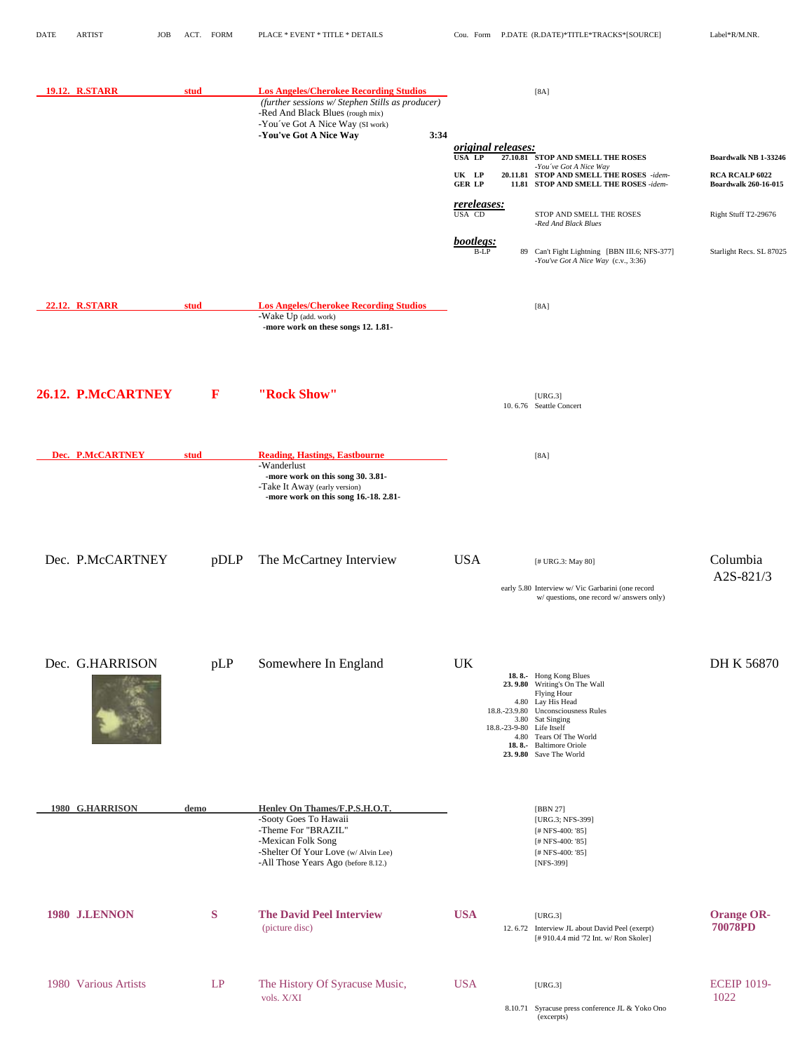| <b>19.12. R.STARR</b> | stud |      | <b>Los Angeles/Cherokee Recording Studios</b><br>(further sessions w/ Stephen Stills as producer)<br>-Red And Black Blues (rough mix)<br>-You've Got A Nice Way (SI work) |      |                        |                           | [8A]                                                                                                                                                        |                                               |
|-----------------------|------|------|---------------------------------------------------------------------------------------------------------------------------------------------------------------------------|------|------------------------|---------------------------|-------------------------------------------------------------------------------------------------------------------------------------------------------------|-----------------------------------------------|
|                       |      |      | -You've Got A Nice Way                                                                                                                                                    | 3:34 |                        | original releases:        |                                                                                                                                                             |                                               |
|                       |      |      |                                                                                                                                                                           |      | <b>USA LP</b>          |                           | 27.10.81 STOP AND SMELL THE ROSES<br>-You've Got A Nice Way                                                                                                 | Boardwalk NB 1-33246                          |
|                       |      |      |                                                                                                                                                                           |      | UK LP<br><b>GER LP</b> |                           | 20.11.81 STOP AND SMELL THE ROSES -idem-<br>11.81 STOP AND SMELL THE ROSES -idem-                                                                           | RCA RCALP 6022<br><b>Boardwalk 260-16-015</b> |
|                       |      |      |                                                                                                                                                                           |      | rereleases:<br>USA CD  |                           | STOP AND SMELL THE ROSES<br>-Red And Black Blues                                                                                                            | Right Stuff T2-29676                          |
|                       |      |      |                                                                                                                                                                           |      | bootlegs:<br>$B-LP$    |                           | 89 Can't Fight Lightning [BBN III.6; NFS-377]<br>-You've Got A Nice Way (c.v., 3:36)                                                                        | Starlight Recs. SL 87025                      |
| 22.12. R.STARR        | stud |      | <b>Los Angeles/Cherokee Recording Studios</b><br>-Wake Up (add. work)<br>-more work on these songs 12. 1.81-                                                              |      |                        |                           | [8A]                                                                                                                                                        |                                               |
| 26.12. P.McCARTNEY    |      | F    | "Rock Show"                                                                                                                                                               |      |                        |                           | [URG.3]<br>10.6.76 Seattle Concert                                                                                                                          |                                               |
| Dec. P.McCARTNEY      |      |      |                                                                                                                                                                           |      |                        |                           |                                                                                                                                                             |                                               |
|                       | stud |      | <b>Reading, Hastings, Eastbourne</b><br>-Wanderlust<br>-more work on this song 30. 3.81-<br>-Take It Away (early version)<br>-more work on this song 16.-18. 2.81-        |      |                        |                           | [8A]                                                                                                                                                        |                                               |
| Dec. P.McCARTNEY      |      | pDLP | The McCartney Interview                                                                                                                                                   |      | <b>USA</b>             |                           | [# URG.3: May 80]<br>early 5.80 Interview w/ Vic Garbarini (one record                                                                                      | Columbia<br>A2S-821/3                         |
|                       |      |      |                                                                                                                                                                           |      |                        |                           | w/ questions, one record w/ answers only)                                                                                                                   |                                               |
| Dec. G.HARRISON       |      | pLP  | Somewhere In England                                                                                                                                                      |      | <b>UK</b>              |                           | 18.8. Hong Kong Blues                                                                                                                                       | DH K 56870                                    |
|                       |      |      |                                                                                                                                                                           |      |                        |                           | 23.9.80 Writing's On The Wall<br>Flying Hour                                                                                                                |                                               |
|                       |      |      |                                                                                                                                                                           |      |                        | 18.8.-23-9-80 Life Itself | 4.80 Lay His Head<br>18.8.-23.9.80 Unconsciousness Rules<br>3.80 Sat Singing<br>4.80 Tears Of The World<br>18.8. Baltimore Oriole<br>23.9.80 Save The World |                                               |
| 1980 G.HARRISON       | demo |      | Henley On Thames/F.P.S.H.O.T.                                                                                                                                             |      |                        |                           | [BBN 27]                                                                                                                                                    |                                               |
|                       |      |      | -Sooty Goes To Hawaii<br>-Theme For "BRAZIL"<br>-Mexican Folk Song<br>-Shelter Of Your Love (w/ Alvin Lee)<br>-All Those Years Ago (before 8.12.)                         |      |                        |                           | [URG.3; NFS-399]<br>[# NFS-400: '85]<br>[# NFS-400: '85]<br>[# NFS-400: '85]<br>[NFS-399]                                                                   |                                               |
| 1980 J.LENNON         |      | S    | <b>The David Peel Interview</b><br>(picture disc)                                                                                                                         |      | <b>USA</b>             |                           | [URG.3]<br>12. 6.72 Interview JL about David Peel (exerpt)<br>[#910.4.4 mid '72 Int. w/ Ron Skoler]                                                         | <b>Orange OR-</b><br><b>70078PD</b>           |
| 1980 Various Artists  |      | LP   | The History Of Syracuse Music,<br>vols. X/XI                                                                                                                              |      | <b>USA</b>             |                           | [URG.3]<br>8.10.71 Syracuse press conference JL & Yoko Ono<br>(excerpts)                                                                                    | <b>ECEIP 1019-</b><br>1022                    |